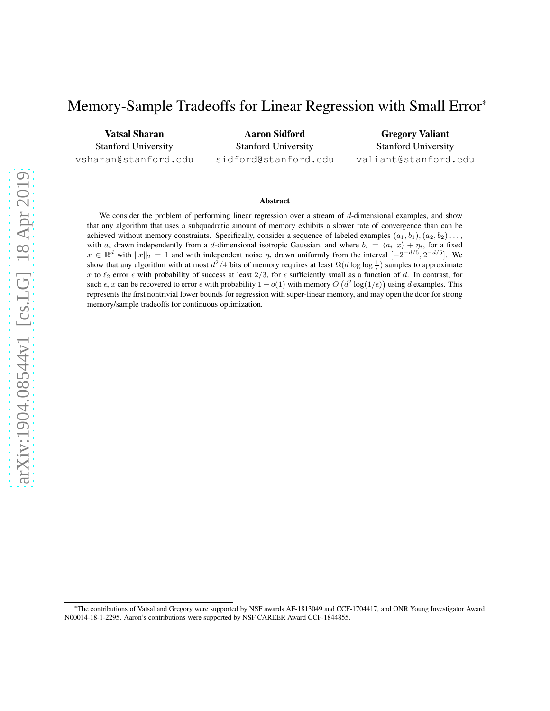# Memory-Sample Tradeoffs for Linear Regression with Small Error\*

Vatsal Sharan Stanford University vsharan@stanford.edu

Aaron Sidford Stanford University sidford@stanford.edu

Gregory Valiant Stanford University valiant@stanford.edu

#### Abstract

We consider the problem of performing linear regression over a stream of  $d$ -dimensional examples, and show that any algorithm that uses a subquadratic amount of memory exhibits a slower rate of convergence than can be achieved without memory constraints. Specifically, consider a sequence of labeled examples  $(a_1, b_1), (a_2, b_2) \ldots$ with  $a_i$  drawn independently from a d-dimensional isotropic Gaussian, and where  $b_i = \langle a_i, x \rangle + \eta_i$ , for a fixed  $x \in \mathbb{R}^d$  with  $||x||_2 = 1$  and with independent noise  $\eta_i$  drawn uniformly from the interval  $[-2^{-d/5}, 2^{-d/5}]$ . We show that any algorithm with at most  $d^2/4$  bits of memory requires at least  $\Omega(d \log \log \frac{1}{\epsilon})$  samples to approximate x to  $\ell_2$  error  $\epsilon$  with probability of success at least 2/3, for  $\epsilon$  sufficiently small as a function of d. In contrast, for such  $\epsilon$ , x can be recovered to error  $\epsilon$  with probability  $1 - o(1)$  with memory  $O(d^2 \log(1/\epsilon))$  using d examples. This represents the first nontrivial lower bounds for regression with super-linear memory, and may open the door for strong memory/sample tradeoffs for continuous optimization.

<sup>\*</sup>The contributions of Vatsal and Gregory were supported by NSF awards AF-1813049 and CCF-1704417, and ONR Young Investigator Award N00014-18-1-2295. Aaron's contributions were supported by NSF CAREER Award CCF-1844855.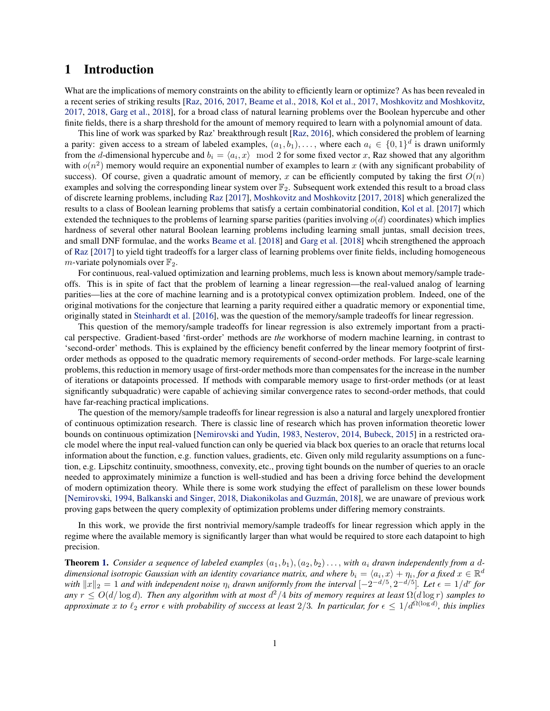## 1 Introduction

What are the implications of memory constraints on the ability to efficiently learn or optimize? As has been revealed in a recent series of striking results [\[Raz](#page-20-0), [2016,](#page-20-0) [2017,](#page-20-1) [Beame et al.,](#page-20-2) [2018,](#page-20-2) [Kol et al.](#page-20-3), [2017,](#page-20-3) [Moshkovitz and Moshkovitz,](#page-20-4) [2017,](#page-20-4) [2018](#page-20-5), [Garg et al.](#page-20-6), [2018\]](#page-20-6), for a broad class of natural learning problems over the Boolean hypercube and other finite fields, there is a sharp threshold for the amount of memory required to learn with a polynomial amount of data.

This line of work was sparked by Raz' breakthrough result [\[Raz](#page-20-0), [2016](#page-20-0)], which considered the problem of learning a parity: given access to a stream of labeled examples,  $(a_1, b_1), \ldots$ , where each  $a_i \in \{0, 1\}^d$  is drawn uniformly from the d-dimensional hypercube and  $b_i = \langle a_i, x \rangle \mod 2$  for some fixed vector x, Raz showed that any algorithm with  $o(n^2)$  memory would require an exponential number of examples to learn x (with any significant probability of success). Of course, given a quadratic amount of memory, x can be efficiently computed by taking the first  $O(n)$ examples and solving the corresponding linear system over  $\mathbb{F}_2$ . Subsequent work extended this result to a broad class of discrete learning problems, including [Raz](#page-20-1) [\[2017\]](#page-20-1), [Moshkovitz and Moshkovitz](#page-20-4) [\[2017,](#page-20-4) [2018](#page-20-5)] which generalized the results to a class of Boolean learning problems that satisfy a certain combinatorial condition, [Kol et al.](#page-20-3) [\[2017\]](#page-20-3) which extended the techniques to the problems of learning sparse parities (parities involving  $o(d)$  coordinates) which implies hardness of several other natural Boolean learning problems including learning small juntas, small decision trees, and small DNF formulae, and the works [Beame et al.](#page-20-2) [\[2018\]](#page-20-2) and [Garg et al.](#page-20-6) [\[2018](#page-20-6)] whcih strengthened the approach of [Raz](#page-20-1) [\[2017](#page-20-1)] to yield tight tradeoffs for a larger class of learning problems over finite fields, including homogeneous m-variate polynomials over  $\mathbb{F}_2$ .

For continuous, real-valued optimization and learning problems, much less is known about memory/sample tradeoffs. This is in spite of fact that the problem of learning a linear regression—the real-valued analog of learning parities—lies at the core of machine learning and is a prototypical convex optimization problem. Indeed, one of the original motivations for the conjecture that learning a parity required either a quadratic memory or exponential time, originally stated in [Steinhardt et al.](#page-20-7) [\[2016\]](#page-20-7), was the question of the memory/sample tradeoffs for linear regression.

This question of the memory/sample tradeoffs for linear regression is also extremely important from a practical perspective. Gradient-based 'first-order' methods are *the* workhorse of modern machine learning, in contrast to 'second-order' methods. This is explained by the efficiency benefit conferred by the linear memory footprint of firstorder methods as opposed to the quadratic memory requirements of second-order methods. For large-scale learning problems, this reduction in memory usage of first-order methods more than compensates for the increase in the number of iterations or datapoints processed. If methods with comparable memory usage to first-order methods (or at least significantly subquadratic) were capable of achieving similar convergence rates to second-order methods, that could have far-reaching practical implications.

The question of the memory/sample tradeoffs for linear regression is also a natural and largely unexplored frontier of continuous optimization research. There is classic line of research which has proven information theoretic lower bounds on continuous optimization [\[Nemirovski and Yudin,](#page-20-8) [1983,](#page-20-8) [Nesterov](#page-20-9), [2014](#page-20-9), [Bubeck,](#page-20-10) [2015\]](#page-20-10) in a restricted oracle model where the input real-valued function can only be queried via black box queries to an oracle that returns local information about the function, e.g. function values, gradients, etc. Given only mild regularity assumptions on a function, e.g. Lipschitz continuity, smoothness, convexity, etc., proving tight bounds on the number of queries to an oracle needed to approximately minimize a function is well-studied and has been a driving force behind the development of modern optimization theory. While there is some work studying the effect of parallelism on these lower bounds [\[Nemirovski,](#page-20-11) [1994](#page-20-11), [Balkanski and Singer,](#page-20-12) [2018,](#page-20-12) Diakonikolas and Guzmán, [2018\]](#page-20-13), we are unaware of previous work proving gaps between the query complexity of optimization problems under differing memory constraints.

In this work, we provide the first nontrivial memory/sample tradeoffs for linear regression which apply in the regime where the available memory is significantly larger than what would be required to store each datapoint to high precision.

**Theorem [1.](#page-8-0)** Consider a sequence of labeled examples  $(a_1, b_1), (a_2, b_2) \ldots$ , with  $a_i$  drawn independently from a d*dimensional isotropic Gaussian with an identity covariance matrix, and where*  $b_i = \langle a_i, x \rangle + \eta_i$ , *for a fixed*  $x \in \mathbb{R}^d$ *with*  $||x||_2 = 1$  *and with independent noise*  $\eta_i$  *drawn uniformly from the interval*  $[-2^{-d/5}, 2^{-d/5}]$ *. Let*  $\epsilon = 1/d^r$  *for any* r ≤ O(d/ log d)*. Then any algorithm with at most* d <sup>2</sup>/4 *bits of memory requires at least* Ω(d log r) *samples to approximate* x to  $\ell_2$  *error*  $\epsilon$  *with probability of success at least*  $2/3$ *. In particular, for*  $\epsilon \leq 1/d^{\Omega(\log d)}$ *, this implies*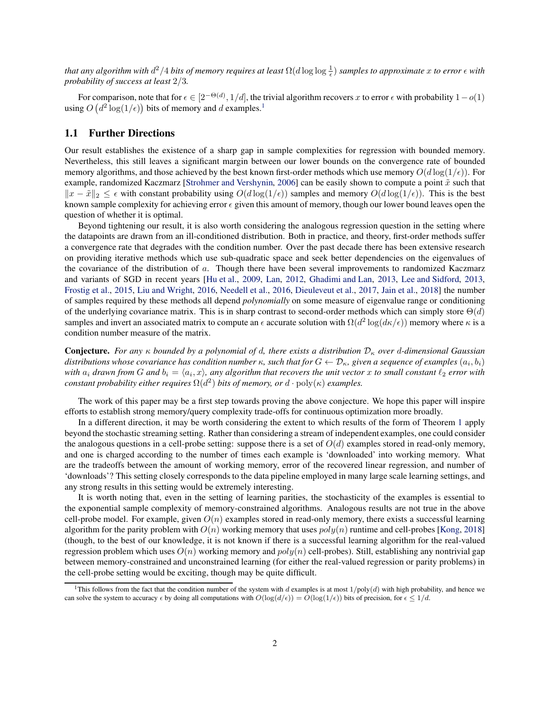that any algorithm with  $d^2/4$  bits of memory requires at least  $\Omega(d\log\log\frac{1}{\epsilon})$  samples to approximate  $x$  to error  $\epsilon$  with *probability of success at least* 2/3*.*

For comparison, note that for  $\epsilon \in [2^{-\Theta(d)}, 1/d]$ , the trivial algorithm recovers x to error  $\epsilon$  with probability  $1-o(1)$ using  $O(d^2 \log(1/\epsilon))$  bits of memory and d examples.<sup>1</sup>

### 1.1 Further Directions

Our result establishes the existence of a sharp gap in sample complexities for regression with bounded memory. Nevertheless, this still leaves a significant margin between our lower bounds on the convergence rate of bounded memory algorithms, and those achieved by the best known first-order methods which use memory  $O(d \log(1/\epsilon))$ . For example, randomized Kaczmarz [\[Strohmer and Vershynin,](#page-20-14) [2006\]](#page-20-14) can be easily shown to compute a point  $\tilde{x}$  such that  $||x - \tilde{x}||_2 \leq \epsilon$  with constant probability using  $O(d \log(1/\epsilon))$  samples and memory  $O(d \log(1/\epsilon))$ . This is the best known sample complexity for achieving error  $\epsilon$  given this amount of memory, though our lower bound leaves open the question of whether it is optimal.

Beyond tightening our result, it is also worth considering the analogous regression question in the setting where the datapoints are drawn from an ill-conditioned distribution. Both in practice, and theory, first-order methods suffer a convergence rate that degrades with the condition number. Over the past decade there has been extensive research on providing iterative methods which use sub-quadratic space and seek better dependencies on the eigenvalues of the covariance of the distribution of a. Though there have been several improvements to randomized Kaczmarz and variants of SGD in recent years [\[Hu et al.,](#page-20-15) [2009,](#page-20-15) [Lan,](#page-20-16) [2012](#page-20-16), [Ghadimi and Lan](#page-20-17), [2013,](#page-20-17) [Lee and Sidford](#page-20-18), [2013,](#page-20-18) [Frostig et al.](#page-21-0), [2015,](#page-21-0) [Liu and Wright](#page-21-1), [2016,](#page-21-1) [Needell et al.](#page-21-2), [2016,](#page-21-2) [Dieuleveut et al.](#page-21-3), [2017,](#page-21-3) [Jain et al.,](#page-21-4) [2018](#page-21-4)] the number of samples required by these methods all depend *polynomially* on some measure of eigenvalue range or conditioning of the underlying covariance matrix. This is in sharp contrast to second-order methods which can simply store  $\Theta(d)$ samples and invert an associated matrix to compute an  $\epsilon$  accurate solution with  $\Omega(d^2 \log (d\kappa/\epsilon))$  memory where  $\kappa$  is a condition number measure of the matrix.

Conjecture. *For any* κ *bounded by a polynomial of* d*, there exists a distribution* D<sup>κ</sup> *over* d*-dimensional Gaussian* distributions whose covariance has condition number  $\kappa$ , such that for  $G\leftarrow \mathcal{D}_\kappa$ , given a sequence of examples  $(a_i,b_i)$ with  $a_i$  drawn from G and  $b_i = \langle a_i, x \rangle$ , any algorithm that recovers the unit vector x to small constant  $\ell_2$  error with *constant probability either requires*  $\Omega(d^2)$  *bits of memory, or*  $d \cdot \text{poly}(\kappa)$  *examples.* 

The work of this paper may be a first step towards proving the above conjecture. We hope this paper will inspire efforts to establish strong memory/query complexity trade-offs for continuous optimization more broadly.

In a different direction, it may be worth considering the extent to which results of the form of Theorem [1](#page-8-0) apply beyond the stochastic streaming setting. Rather than considering a stream of independent examples, one could consider the analogous questions in a cell-probe setting: suppose there is a set of  $O(d)$  examples stored in read-only memory, and one is charged according to the number of times each example is 'downloaded' into working memory. What are the tradeoffs between the amount of working memory, error of the recovered linear regression, and number of 'downloads'? This setting closely corresponds to the data pipeline employed in many large scale learning settings, and any strong results in this setting would be extremely interesting.

It is worth noting that, even in the setting of learning parities, the stochasticity of the examples is essential to the exponential sample complexity of memory-constrained algorithms. Analogous results are not true in the above cell-probe model. For example, given  $O(n)$  examples stored in read-only memory, there exists a successful learning algorithm for the parity problem with  $O(n)$  working memory that uses  $poly(n)$  runtime and cell-probes [\[Kong,](#page-21-5) [2018\]](#page-21-5) (though, to the best of our knowledge, it is not known if there is a successful learning algorithm for the real-valued regression problem which uses  $O(n)$  working memory and  $poly(n)$  cell-probes). Still, establishing any nontrivial gap between memory-constrained and unconstrained learning (for either the real-valued regression or parity problems) in the cell-probe setting would be exciting, though may be quite difficult.

<sup>&</sup>lt;sup>1</sup>This follows from the fact that the condition number of the system with d examples is at most  $1/poly(d)$  with high probability, and hence we can solve the system to accuracy  $\epsilon$  by doing all computations with  $O(\log(d/\epsilon)) = O(\log(1/\epsilon))$  bits of precision, for  $\epsilon \leq 1/d$ .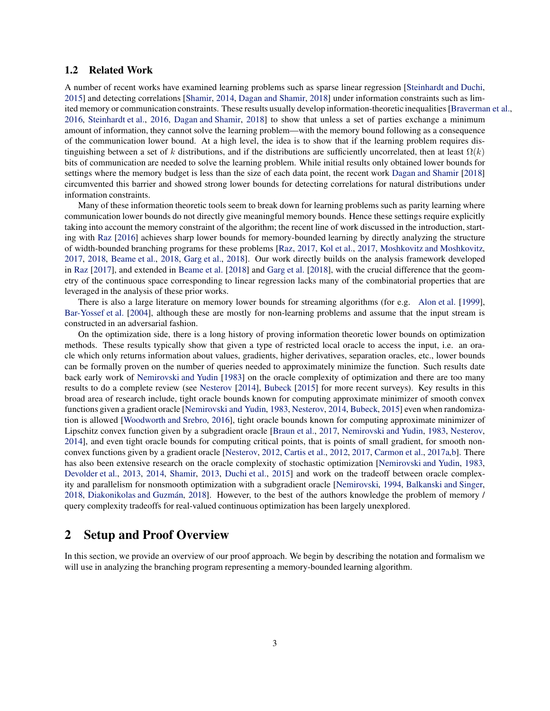### 1.2 Related Work

A number of recent works have examined learning problems such as sparse linear regression [\[Steinhardt and Duchi,](#page-21-6) [2015\]](#page-21-6) and detecting correlations [\[Shamir,](#page-21-7) [2014,](#page-21-7) [Dagan and Shamir,](#page-21-8) [2018\]](#page-21-8) under information constraints such as limited memory or communication constraints. These results usually develop information-theoreticinequalities [\[Braverman et al.,](#page-21-9) [2016,](#page-21-9) [Steinhardt et al.](#page-20-7), [2016,](#page-20-7) [Dagan and Shamir,](#page-21-8) [2018](#page-21-8)] to show that unless a set of parties exchange a minimum amount of information, they cannot solve the learning problem—with the memory bound following as a consequence of the communication lower bound. At a high level, the idea is to show that if the learning problem requires distinguishing between a set of k distributions, and if the distributions are sufficiently uncorrelated, then at least  $\Omega(k)$ bits of communication are needed to solve the learning problem. While initial results only obtained lower bounds for settings where the memory budget is less than the size of each data point, the recent work [Dagan and Shamir](#page-21-8) [\[2018\]](#page-21-8) circumvented this barrier and showed strong lower bounds for detecting correlations for natural distributions under information constraints.

Many of these information theoretic tools seem to break down for learning problems such as parity learning where communication lower bounds do not directly give meaningful memory bounds. Hence these settings require explicitly taking into account the memory constraint of the algorithm; the recent line of work discussed in the introduction, starting with [Raz](#page-20-0) [\[2016\]](#page-20-0) achieves sharp lower bounds for memory-bounded learning by directly analyzing the structure of width-bounded branching programs for these problems [\[Raz,](#page-20-1) [2017](#page-20-1), [Kol et al.,](#page-20-3) [2017](#page-20-3), [Moshkovitz and Moshkovitz,](#page-20-4) [2017,](#page-20-4) [2018,](#page-20-5) [Beame et al.](#page-20-2), [2018](#page-20-2), [Garg et al.,](#page-20-6) [2018\]](#page-20-6). Our work directly builds on the analysis framework developed in [Raz](#page-20-1) [\[2017\]](#page-20-1), and extended in [Beame et al.](#page-20-2) [\[2018\]](#page-20-2) and [Garg et al.](#page-20-6) [\[2018](#page-20-6)], with the crucial difference that the geometry of the continuous space corresponding to linear regression lacks many of the combinatorial properties that are leveraged in the analysis of these prior works.

There is also a large literature on memory lower bounds for streaming algorithms (for e.g. [Alon et al.](#page-21-10) [\[1999](#page-21-10)], [Bar-Yossef et al.](#page-21-11) [\[2004\]](#page-21-11), although these are mostly for non-learning problems and assume that the input stream is constructed in an adversarial fashion.

On the optimization side, there is a long history of proving information theoretic lower bounds on optimization methods. These results typically show that given a type of restricted local oracle to access the input, i.e. an oracle which only returns information about values, gradients, higher derivatives, separation oracles, etc., lower bounds can be formally proven on the number of queries needed to approximately minimize the function. Such results date back early work of [Nemirovski and Yudin](#page-20-8) [\[1983\]](#page-20-8) on the oracle complexity of optimization and there are too many results to do a complete review (see [Nesterov](#page-20-9) [\[2014](#page-20-9)], [Bubeck](#page-20-10) [\[2015](#page-20-10)] for more recent surveys). Key results in this broad area of research include, tight oracle bounds known for computing approximate minimizer of smooth convex functions given a gradient oracle [\[Nemirovski and Yudin](#page-20-8), [1983,](#page-20-8) [Nesterov,](#page-20-9) [2014,](#page-20-9) [Bubeck,](#page-20-10) [2015](#page-20-10)] even when randomization is allowed [\[Woodworth and Srebro,](#page-21-12) [2016\]](#page-21-12), tight oracle bounds known for computing approximate minimizer of Lipschitz convex function given by a subgradient oracle [\[Braun et al.](#page-21-13), [2017,](#page-21-13) [Nemirovski and Yudin](#page-20-8), [1983,](#page-20-8) [Nesterov,](#page-20-9) [2014\]](#page-20-9), and even tight oracle bounds for computing critical points, that is points of small gradient, for smooth nonconvex functions given by a gradient oracle [\[Nesterov,](#page-21-14) [2012,](#page-21-14) [Cartis et al.](#page-21-15), [2012](#page-21-15), [2017](#page-21-16), [Carmon et al.](#page-21-17), [2017a](#page-21-17)[,b\]](#page-21-18). There has also been extensive research on the oracle complexity of stochastic optimization [\[Nemirovski and Yudin,](#page-20-8) [1983,](#page-20-8) [Devolder et al.,](#page-22-0) [2013,](#page-22-0) [2014,](#page-22-1) [Shamir](#page-22-2), [2013](#page-22-2), [Duchi et al.,](#page-22-3) [2015](#page-22-3)] and work on the tradeoff between oracle complexity and parallelism for nonsmooth optimization with a subgradient oracle [\[Nemirovski,](#page-20-11) [1994,](#page-20-11) [Balkanski and Singer,](#page-20-12) [2018,](#page-20-12) [Diakonikolas and Guzm´an,](#page-20-13) [2018\]](#page-20-13). However, to the best of the authors knowledge the problem of memory / query complexity tradeoffs for real-valued continuous optimization has been largely unexplored.

## 2 Setup and Proof Overview

In this section, we provide an overview of our proof approach. We begin by describing the notation and formalism we will use in analyzing the branching program representing a memory-bounded learning algorithm.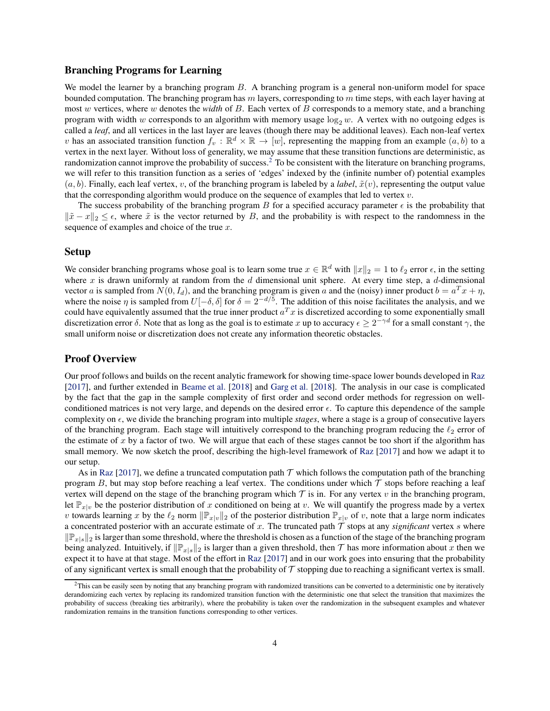#### Branching Programs for Learning

We model the learner by a branching program B. A branching program is a general non-uniform model for space bounded computation. The branching program has  $m$  layers, corresponding to  $m$  time steps, with each layer having at most w vertices, where w denotes the *width* of B. Each vertex of B corresponds to a memory state, and a branching program with width w corresponds to an algorithm with memory usage  $\log_2 w$ . A vertex with no outgoing edges is called a *leaf*, and all vertices in the last layer are leaves (though there may be additional leaves). Each non-leaf vertex v has an associated transition function  $f_v : \mathbb{R}^d \times \mathbb{R} \to [w]$ , representing the mapping from an example  $(a, b)$  to a vertex in the next layer. Without loss of generality, we may assume that these transition functions are deterministic, as randomization cannot improve the probability of success.<sup>2</sup> To be consistent with the literature on branching programs, we will refer to this transition function as a series of 'edges' indexed by the (infinite number of) potential examples  $(a, b)$ . Finally, each leaf vertex, v, of the branching program is labeled by a *label*,  $\tilde{x}(v)$ , representing the output value that the corresponding algorithm would produce on the sequence of examples that led to vertex  $v$ .

The success probability of the branching program B for a specified accuracy parameter  $\epsilon$  is the probability that  $\|\tilde{x} - x\|_2 \leq \epsilon$ , where  $\tilde{x}$  is the vector returned by B, and the probability is with respect to the randomness in the sequence of examples and choice of the true  $x$ .

#### Setup

We consider branching programs whose goal is to learn some true  $x \in \mathbb{R}^d$  with  $||x||_2 = 1$  to  $\ell_2$  error  $\epsilon$ , in the setting where x is drawn uniformly at random from the  $d$  dimensional unit sphere. At every time step, a  $d$ -dimensional vector a is sampled from  $N(0, I_d)$ , and the branching program is given a and the (noisy) inner product  $b = a^T x + \eta$ , where the noise  $\eta$  is sampled from  $U[-\delta, \delta]$  for  $\delta = 2^{-d/5}$ . The addition of this noise facilitates the analysis, and we could have equivalently assumed that the true inner product  $a^T x$  is discretized according to some exponentially small discretization error  $\delta$ . Note that as long as the goal is to estimate x up to accuracy  $\epsilon \ge 2^{-\gamma d}$  for a small constant  $\gamma$ , the small uniform noise or discretization does not create any information theoretic obstacles.

#### Proof Overview

Our proof follows and builds on the recent analytic framework for showing time-space lower bounds developed in [Raz](#page-20-1) [\[2017\]](#page-20-1), and further extended in [Beame et al.](#page-20-2) [\[2018\]](#page-20-2) and [Garg et al.](#page-20-6) [\[2018\]](#page-20-6). The analysis in our case is complicated by the fact that the gap in the sample complexity of first order and second order methods for regression on wellconditioned matrices is not very large, and depends on the desired error  $\epsilon$ . To capture this dependence of the sample complexity on  $\epsilon$ , we divide the branching program into multiple *stages*, where a stage is a group of consecutive layers of the branching program. Each stage will intuitively correspond to the branching program reducing the  $\ell_2$  error of the estimate of x by a factor of two. We will argue that each of these stages cannot be too short if the algorithm has small memory. We now sketch the proof, describing the high-level framework of [Raz](#page-20-1) [\[2017](#page-20-1)] and how we adapt it to our setup.

As in [Raz](#page-20-1) [\[2017\]](#page-20-1), we define a truncated computation path  $\mathcal T$  which follows the computation path of the branching program B, but may stop before reaching a leaf vertex. The conditions under which  $\tau$  stops before reaching a leaf vertex will depend on the stage of the branching program which  $\tau$  is in. For any vertex v in the branching program, let  $\mathbb{P}_{x|y}$  be the posterior distribution of x conditioned on being at v. We will quantify the progress made by a vertex v towards learning x by the  $\ell_2$  norm  $\|\mathbb{P}_{x|v}\|_2$  of the posterior distribution  $\mathbb{P}_{x|v}$  of v, note that a large norm indicates a concentrated posterior with an accurate estimate of  $x$ . The truncated path  $\tau$  stops at any *significant* vertex  $s$  where  $\|\mathbb{P}_{x|s}\|_2$  is larger than some threshold, where the threshold is chosen as a function of the stage of the branching program being analyzed. Intuitively, if  $\|\mathbb{P}_{x|s}\|_2$  is larger than a given threshold, then  $\mathcal T$  has more information about x then we expect it to have at that stage. Most of the effort in [Raz](#page-20-1) [\[2017](#page-20-1)] and in our work goes into ensuring that the probability of any significant vertex is small enough that the probability of  $\tau$  stopping due to reaching a significant vertex is small.

 ${}^{2}$ This can be easily seen by noting that any branching program with randomized transitions can be converted to a deterministic one by iteratively derandomizing each vertex by replacing its randomized transition function with the deterministic one that select the transition that maximizes the probability of success (breaking ties arbitrarily), where the probability is taken over the randomization in the subsequent examples and whatever randomization remains in the transition functions corresponding to other vertices.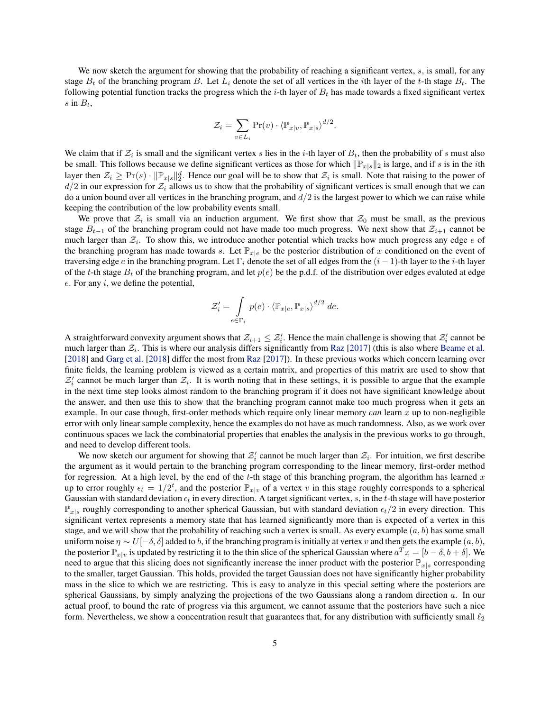We now sketch the argument for showing that the probability of reaching a significant vertex,  $s$ , is small, for any stage  $B_t$  of the branching program B. Let  $L_i$  denote the set of all vertices in the *i*th layer of the *t*-th stage  $B_t$ . The following potential function tracks the progress which the i-th layer of  $B_t$  has made towards a fixed significant vertex s in  $B_t$ ,

$$
\mathcal{Z}_i = \sum_{v \in L_i} \Pr(v) \cdot \langle \mathbb{P}_{x|v}, \mathbb{P}_{x|s} \rangle^{d/2}.
$$

We claim that if  $\mathcal{Z}_i$  is small and the significant vertex s lies in the i-th layer of  $B_t$ , then the probability of s must also be small. This follows because we define significant vertices as those for which  $\|\mathbb{P}_{x|s}\|_2$  is large, and if s is in the *i*th layer then  $\mathcal{Z}_i \geq \Pr(s) \cdot ||\mathbb{P}_{x|s}||_2^d$ . Hence our goal will be to show that  $\mathcal{Z}_i$  is small. Note that raising to the power of  $d/2$  in our expression for  $\mathcal{Z}_i$  allows us to show that the probability of significant vertices is small enough that we can do a union bound over all vertices in the branching program, and  $d/2$  is the largest power to which we can raise while keeping the contribution of the low probability events small.

We prove that  $\mathcal{Z}_i$  is small via an induction argument. We first show that  $\mathcal{Z}_0$  must be small, as the previous stage  $B_{t-1}$  of the branching program could not have made too much progress. We next show that  $\mathcal{Z}_{i+1}$  cannot be much larger than  $\mathcal{Z}_i$ . To show this, we introduce another potential which tracks how much progress any edge  $e$  of the branching program has made towards s. Let  $\mathbb{P}_{x|e}$  be the posterior distribution of x conditioned on the event of traversing edge e in the branching program. Let  $\Gamma_i$  denote the set of all edges from the  $(i-1)$ -th layer to the *i*-th layer of the t-th stage  $B_t$  of the branching program, and let  $p(e)$  be the p.d.f. of the distribution over edges evaluted at edge  $e$ . For any  $i$ , we define the potential,

$$
\mathcal{Z}'_i = \int_{e \in \Gamma_i} p(e) \cdot \langle \mathbb{P}_{x|e}, \mathbb{P}_{x|s} \rangle^{d/2} de.
$$

A straightforward convexity argument shows that  $\mathcal{Z}_{i+1} \leq \mathcal{Z}'_i$ . Hence the main challenge is showing that  $\mathcal{Z}'_i$  cannot be much larger than  $\mathcal{Z}_i$ . This is where our analysis differs significantly from [Raz](#page-20-1) [\[2017\]](#page-20-1) (this is also where [Beame et al.](#page-20-2) [\[2018\]](#page-20-6) and [Garg et al.](#page-20-6) [2018] differ the most from [Raz](#page-20-1) [\[2017](#page-20-1)]). In these previous works which concern learning over finite fields, the learning problem is viewed as a certain matrix, and properties of this matrix are used to show that  $Z'_i$  cannot be much larger than  $Z_i$ . It is worth noting that in these settings, it is possible to argue that the example in the next time step looks almost random to the branching program if it does not have significant knowledge about the answer, and then use this to show that the branching program cannot make too much progress when it gets an example. In our case though, first-order methods which require only linear memory *can* learn x up to non-negligible error with only linear sample complexity, hence the examples do not have as much randomness. Also, as we work over continuous spaces we lack the combinatorial properties that enables the analysis in the previous works to go through, and need to develop different tools.

We now sketch our argument for showing that  $\mathcal{Z}'_i$  cannot be much larger than  $\mathcal{Z}_i$ . For intuition, we first describe the argument as it would pertain to the branching program corresponding to the linear memory, first-order method for regression. At a high level, by the end of the t-th stage of this branching program, the algorithm has learned x up to error roughly  $\epsilon_t = 1/2^t$ , and the posterior  $\mathbb{P}_{x|v}$  of a vertex v in this stage roughly corresponds to a spherical Gaussian with standard deviation  $\epsilon_t$  in every direction. A target significant vertex, s, in the t-th stage will have posterior  $\mathbb{P}_{x|s}$  roughly corresponding to another spherical Gaussian, but with standard deviation  $\epsilon_t/2$  in every direction. This significant vertex represents a memory state that has learned significantly more than is expected of a vertex in this stage, and we will show that the probability of reaching such a vertex is small. As every example  $(a, b)$  has some small uniform noise  $\eta \sim U[-\delta, \delta]$  added to b, if the branching program is initially at vertex v and then gets the example  $(a, b)$ , the posterior  $\mathbb{P}_{x|v}$  is updated by restricting it to the thin slice of the spherical Gaussian where  $a^T x = [b - \delta, b + \delta]$ . We need to argue that this slicing does not significantly increase the inner product with the posterior  $\mathbb{P}_{x|s}$  corresponding to the smaller, target Gaussian. This holds, provided the target Gaussian does not have significantly higher probability mass in the slice to which we are restricting. This is easy to analyze in this special setting where the posteriors are spherical Gaussians, by simply analyzing the projections of the two Gaussians along a random direction  $a$ . In our actual proof, to bound the rate of progress via this argument, we cannot assume that the posteriors have such a nice form. Nevertheless, we show a concentration result that guarantees that, for any distribution with sufficiently small  $\ell_2$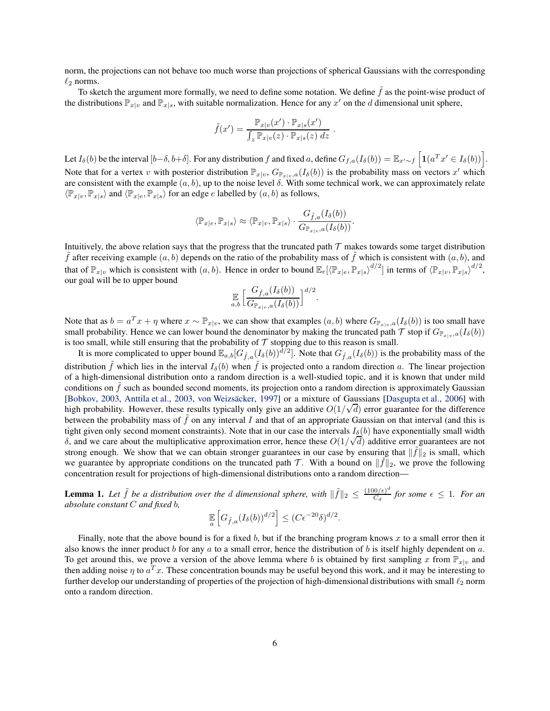norm, the projections can not behave too much worse than projections of spherical Gaussians with the corresponding  $\ell_2$  norms.

To sketch the argument more formally, we need to define some notation. We define  $f$  as the point-wise product of the distributions  $\mathbb{P}_{x|v}$  and  $\mathbb{P}_{x|s}$ , with suitable normalization. Hence for any  $x'$  on the d dimensional unit sphere,

$$
\tilde{f}(x') = \frac{\mathbb{P}_{x|v}(x') \cdot \mathbb{P}_{x|s}(x')}{\int_z \mathbb{P}_{x|v}(z) \cdot \mathbb{P}_{x|s}(z) dz}
$$

.

Let  $I_\delta(b)$  be the interval  $[b-\delta, b+\delta]$ . For any distribution f and fixed a, define  $G_{f,a}(I_\delta(b)) = \mathbb{E}_{x'\sim f} \left[ \mathbf{1}(a^T x' \in I_\delta(b)) \right]$ . Note that for a vertex v with posterior distribution  $\mathbb{P}_{x|v}$ ,  $G_{\mathbb{P}_{x|v},a}(I_\delta(b))$  is the probability mass on vectors x' which are consistent with the example  $(a, b)$ , up to the noise level  $\delta$ . With some technical work, we can approximately relate  $\langle \mathbb{P}_{x|v}, \mathbb{P}_{x|s} \rangle$  and  $\langle \mathbb{P}_{x|e}, \mathbb{P}_{x|s} \rangle$  for an edge e labelled by  $(a, b)$  as follows,

$$
\langle \mathbb{P}_{x|e}, \mathbb{P}_{x|s} \rangle \approx \langle \mathbb{P}_{x|v}, \mathbb{P}_{x|s} \rangle \cdot \frac{G_{\tilde{f},a}(I_{\delta}(b))}{G_{\mathbb{P}_{x|v},a}(I_{\delta}(b))}.
$$

Intuitively, the above relation says that the progress that the truncated path  $\tau$  makes towards some target distribution f after receiving example  $(a, b)$  depends on the ratio of the probability mass of f which is consistent with  $(a, b)$ , and that of  $\mathbb{P}_{x|v}$  which is consistent with  $(a, b)$ . Hence in order to bound  $\mathbb{E}_e[\langle \mathbb{P}_{x|e}, \mathbb{P}_{x|s} \rangle^{d/2}]$  in terms of  $\langle \mathbb{P}_{x|v}, \mathbb{P}_{x|s} \rangle^{d/2}$ , our goal will be to upper bound

$$
\mathop{\mathbb{E}}_{a,b} \Big[ \frac{G_{\tilde{f},a}(I_{\delta}(b))}{G_{\mathbb{P}_{x|v},a}(I_{\delta}(b))} \Big]^{d/2}
$$

.

Note that as  $b = a^T x + \eta$  where  $x \sim \mathbb{P}_{x|v}$ , we can show that examples  $(a, b)$  where  $G_{\mathbb{P}_{x|v},a}(I_{\delta}(b))$  is too small have small probability. Hence we can lower bound the denominator by making the truncated path  $\mathcal T$  stop if  $G_{\mathbb P_{x|v},a}(I_\delta(b))$ is too small, while still ensuring that the probability of  $T$  stopping due to this reason is small.

It is more complicated to upper bound  $\mathbb{E}_{a,b}[G_{\tilde{f},a}(I_{\delta}(b))^{\tilde{d}/2}]$ . Note that  $G_{\tilde{f},a}(I_{\delta}(b))$  is the probability mass of the distribution  $\tilde{f}$  which lies in the interval  $I_\delta(b)$  when  $\tilde{f}$  is projected onto a random direction a. The linear projection of a high-dimensional distribution onto a random direction is a well-studied topic, and it is known that under mild conditions on  $\tilde{f}$  such as bounded second moments, its projection onto a random direction is approximately Gaussian [\[Bobkov,](#page-22-4) [2003,](#page-22-5) [Anttila et al.](#page-22-5), 2003, von Weizsäcker, [1997](#page-22-6)] or a mixture of Gaussians [\[Dasgupta et al.](#page-22-7), [2006\]](#page-22-7) with high probability. However, these results typically only give an additive  $O(1/\sqrt{d})$  error guarantee for the difference between the probability mass of  $\tilde{f}$  on any interval I and that of an appropriate Gaussian on that interval (and this is tight given only second moment constraints). Note that in our case the intervals  $I_{\delta}(b)$  have exponentially small width  $\delta$ , and we care about the multiplicative approximation error, hence these  $O(1/\sqrt{d})$  additive error guarantees are not strong enough. We show that we can obtain stronger guarantees in our case by ensuring that  $\|\tilde{f}\|_2$  is small, which we guarantee by appropriate conditions on the truncated path  $\mathcal{T}$ . With a bound on  $\|\tilde{f}\|_2$ , we prove the following concentration result for projections of high-dimensional distributions onto a random direction—

<span id="page-6-0"></span>**Lemma 1.** Let  $\tilde{f}$  be a distribution over the d dimensional sphere, with  $\|\tilde{f}\|_2 \leq \frac{(100/\epsilon)^d}{C_d}$  $\frac{f(0/\epsilon)}{C_d}$  for some  $\epsilon \leq 1$ . For an *absolute constant* C *and fixed* b*,*

$$
\mathbb{E}_{a}\left[G_{\tilde{f},a}(I_{\delta}(b))^{d/2}\right] \leq (C\epsilon^{-20}\delta)^{d/2}.
$$

Finally, note that the above bound is for a fixed  $b$ , but if the branching program knows  $x$  to a small error then it also knows the inner product b for any a to a small error, hence the distribution of b is itself highly dependent on a. To get around this, we prove a version of the above lemma where b is obtained by first sampling x from  $\mathbb{P}_{x|v}$  and then adding noise  $\eta$  to  $a^T x$ . These concentration bounds may be useful beyond this work, and it may be interesting to further develop our understanding of properties of the projection of high-dimensional distributions with small  $\ell_2$  norm onto a random direction.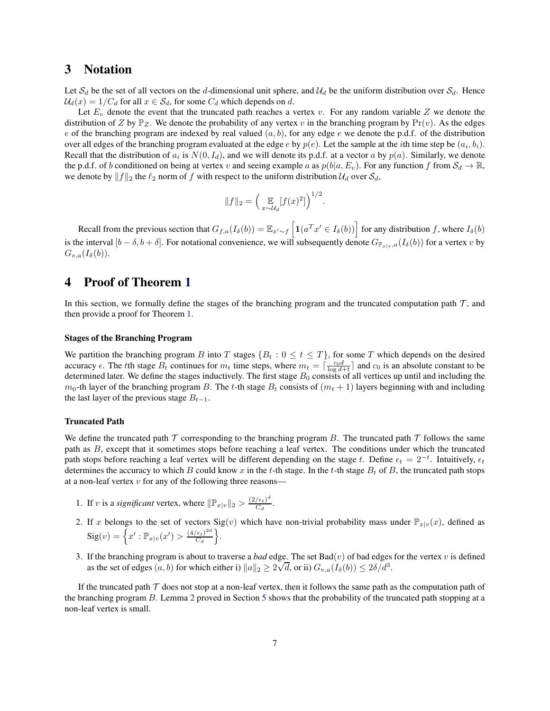## 3 Notation

Let  $S_d$  be the set of all vectors on the d-dimensional unit sphere, and  $\mathcal{U}_d$  be the uniform distribution over  $S_d$ . Hence  $U_d(x) = 1/C_d$  for all  $x \in S_d$ , for some  $C_d$  which depends on d.

Let  $E_v$  denote the event that the truncated path reaches a vertex v. For any random variable Z we denote the distribution of Z by  $\mathbb{P}_Z$ . We denote the probability of any vertex v in the branching program by  $Pr(v)$ . As the edges e of the branching program are indexed by real valued  $(a, b)$ , for any edge e we denote the p.d.f. of the distribution over all edges of the branching program evaluated at the edge  $e$  by  $p(e)$ . Let the sample at the *i*th time step be  $(a_i, b_i)$ . Recall that the distribution of  $a_i$  is  $N(0, I_d)$ , and we will denote its p.d.f. at a vector a by  $p(a)$ . Similarly, we denote the p.d.f. of b conditioned on being at vertex v and seeing example a as  $p(b|a, E_v)$ . For any function f from  $S_d \to \mathbb{R}$ , we denote by  $||f||_2$  the  $\ell_2$  norm of f with respect to the uniform distribution  $\mathcal{U}_d$  over  $\mathcal{S}_d$ ,

$$
||f||_2 = \left(\mathop{\mathbb{E}}_{x \sim \mathcal{U}_d} [f(x)^2]\right)^{1/2}.
$$

Recall from the previous section that  $G_{f,a}(I_\delta(b)) = \mathbb{E}_{x' \sim f} \left[ \mathbf{1}(a^T x' \in I_\delta(b)) \right]$  for any distribution f, where  $I_\delta(b)$ is the interval  $[b - \delta, b + \delta]$ . For notational convenience, we will subsequently denote  $G_{\mathbb{P}_{x|y},a}(I_\delta(b))$  for a vertex v by  $G_{v,a}(I_\delta(b)).$ 

## 4 Proof of Theorem [1](#page-8-0)

In this section, we formally define the stages of the branching program and the truncated computation path  $\mathcal{T}$ , and then provide a proof for Theorem [1.](#page-8-0)

#### Stages of the Branching Program

We partition the branching program B into T stages  $\{B_t : 0 \le t \le T\}$ , for some T which depends on the desired accuracy  $\epsilon$ . The tth stage  $B_t$  continues for  $m_t$  time steps, where  $m_t = \lceil \frac{c_0 d}{\log d + t} \rceil$  and  $c_0$  is an absolute constant to be determined later. We define the stages inductively. The first stage  $B_0$  consists of all vertices up until and including the  $m_0$ -th layer of the branching program B. The t-th stage  $B_t$  consists of  $(m_t + 1)$  layers beginning with and including the last layer of the previous stage  $B_{t-1}$ .

#### Truncated Path

We define the truncated path  $\mathcal T$  corresponding to the branching program B. The truncated path  $\mathcal T$  follows the same path as B, except that it sometimes stops before reaching a leaf vertex. The conditions under which the truncated path stops before reaching a leaf vertex will be different depending on the stage t. Define  $\epsilon_t = 2^{-t}$ . Intuitively,  $\epsilon_t$ determines the accuracy to which B could know x in the t-th stage. In the t-th stage  $B_t$  of B, the truncated path stops at a non-leaf vertex  $v$  for any of the following three reasons-

- 1. If v is a *significant* vertex, where  $\|\mathbb{P}_{x|v}\|_2 > \frac{(2/\epsilon_t)^d}{C_d}$  $\frac{\sqrt{\epsilon_t}}{C_d}$ .
- 2. If x belongs to the set of vectors  $Sig(v)$  which have non-trivial probability mass under  $\mathbb{P}_{x|v}(x)$ , defined as  $\text{Sig}(v) = \left\{x': \mathbb{P}_{x|v}(x') > \frac{(4/\epsilon_t)^{2d}}{C_d}\right\}$  $\frac{\left(\epsilon_t\right)^{2d}}{C_d}$ .
- 3. If the branching program is about to traverse a *bad* edge. The set  $Bad(v)$  of bad edges for the vertex v is defined as the set of edges  $(a, b)$  for which either i)  $||a||_2 \ge 2\sqrt{d}$ , or ii)  $G_{v,a}(I_\delta(b)) \le 2\delta/d^3$ .

If the truncated path  $\tau$  does not stop at a non-leaf vertex, then it follows the same path as the computation path of the branching program B. Lemma [2](#page-8-1) proved in Section [5](#page-8-2) shows that the probability of the truncated path stopping at a non-leaf vertex is small.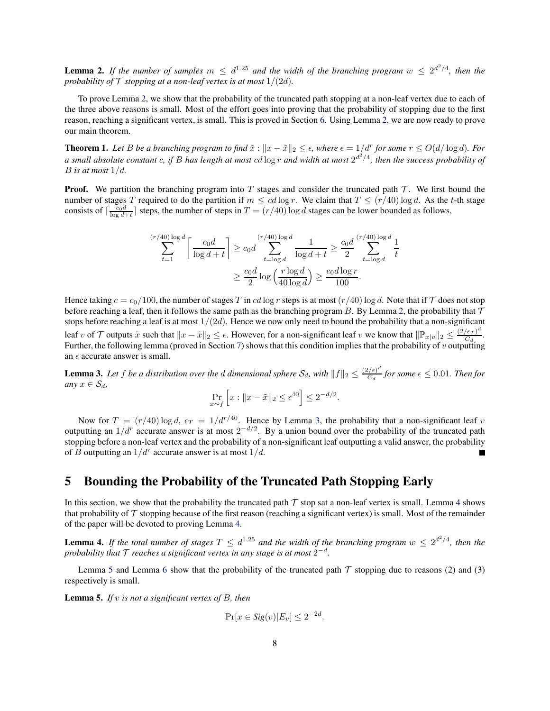<span id="page-8-1"></span>**Lemma 2.** If the number of samples  $m \leq d^{1.25}$  and the width of the branching program  $w \leq 2^{d^2/4}$ , then the *probability of*  $\mathcal T$  *stopping at a non-leaf vertex is at most*  $1/(2d)$ *.* 

To prove Lemma [2,](#page-8-1) we show that the probability of the truncated path stopping at a non-leaf vertex due to each of the three above reasons is small. Most of the effort goes into proving that the probability of stopping due to the first reason, reaching a significant vertex, is small. This is proved in Section [6.](#page-9-0) Using Lemma [2,](#page-8-1) we are now ready to prove our main theorem.

<span id="page-8-0"></span>**Theorem 1.** Let B be a branching program to find  $\tilde{x}$  :  $||x - \tilde{x}||_2 \leq \epsilon$ , where  $\epsilon = 1/d^r$  for some  $r \leq O(d/\log d)$ . For *a small absolute constant* c*, if* B *has length at most* cd log r *and width at most* 2 d 2 /4 *, then the success probability of*  $B$  *is at most*  $1/d$ .

**Proof.** We partition the branching program into T stages and consider the truncated path  $\mathcal{T}$ . We first bound the number of stages T required to do the partition if  $m \leq cd \log r$ . We claim that  $T \leq (r/40) \log d$ . As the t-th stage consists of  $\lceil \frac{c_0d}{\log d+t} \rceil$  steps, the number of steps in  $T = (r/40) \log d$  stages can be lower bounded as follows,

$$
\sum_{t=1}^{(r/40)\log d} \left\lceil \frac{c_0 d}{\log d + t} \right\rceil \ge c_0 d \sum_{t=\log d}^{(r/40)\log d} \frac{1}{\log d + t} \ge \frac{c_0 d}{2} \sum_{t=\log d}^{(r/40)\log d} \frac{1}{t}
$$

$$
\ge \frac{c_0 d}{2} \log \left( \frac{r \log d}{40 \log d} \right) \ge \frac{c_0 d \log r}{100}.
$$

Hence taking  $c = c_0/100$ , the number of stages T in cd log r steps is at most  $(r/40)$  log d. Note that if T does not stop before reaching a leaf, then it follows the same path as the branching program B. By Lemma [2,](#page-8-1) the probability that  $\mathcal T$ stops before reaching a leaf is at most  $1/(2d)$ . Hence we now only need to bound the probability that a non-significant leaf v of T outputs  $\tilde{x}$  such that  $||x - \tilde{x}||_2 \leq \epsilon$ . However, for a non-significant leaf v we know that  $||\mathbb{P}_{x|v}||_2 \leq \frac{(2/\epsilon_T)^d}{C_d}$  $\frac{\epsilon_T}{C_d}$ . Further, the following lemma (proved in Section [7\)](#page-17-0) shows that this condition implies that the probability of  $v$  outputting an  $\epsilon$  accurate answer is small.

<span id="page-8-3"></span>**Lemma 3.** Let f be a distribution over the d dimensional sphere  $S_d$ , with  $||f||_2 \leq \frac{(2/\epsilon)^d}{C_d}$  $\frac{\partial f(\epsilon)}{\partial d}$  for some  $\epsilon \leq 0.01$ . Then for *any*  $x \in S_d$ ,

$$
\Pr_{x \sim f} \left[ x : \|x - \tilde{x}\|_2 \le \epsilon^{40} \right] \le 2^{-d/2}.
$$

Now for  $T = (r/40) \log d$ ,  $\epsilon_T = 1/d^{r/40}$ . Hence by Lemma [3,](#page-8-3) the probability that a non-significant leaf v outputting an  $1/dr$  accurate answer is at most  $2^{-d/2}$ . By a union bound over the probability of the truncated path stopping before a non-leaf vertex and the probability of a non-significant leaf outputting a valid answer, the probability of B outputting an  $1/d^r$  accurate answer is at most  $1/d$ . Е

## <span id="page-8-2"></span>5 Bounding the Probability of the Truncated Path Stopping Early

In this section, we show that the probability the truncated path  $\tau$  stop sat a non-leaf vertex is small. Lemma [4](#page-8-4) shows that probability of  $\mathcal T$  stopping because of the first reason (reaching a significant vertex) is small. Most of the remainder of the paper will be devoted to proving Lemma [4.](#page-8-4)

<span id="page-8-4"></span>**Lemma 4.** If the total number of stages  $T \n\t\le d^{1.25}$  and the width of the branching program  $w \le 2^{d^2/4}$ , then the probability that  ${\cal T}$  reaches a significant vertex in any stage is at most  $2^{-d}$ .

Lemma [5](#page-8-5) and Lemma [6](#page-9-1) show that the probability of the truncated path  $\mathcal T$  stopping due to reasons (2) and (3) respectively is small.

<span id="page-8-5"></span>Lemma 5. *If* v *is not a significant vertex of* B*, then*

$$
\Pr[x \in Sig(v)|E_v] \le 2^{-2d}.
$$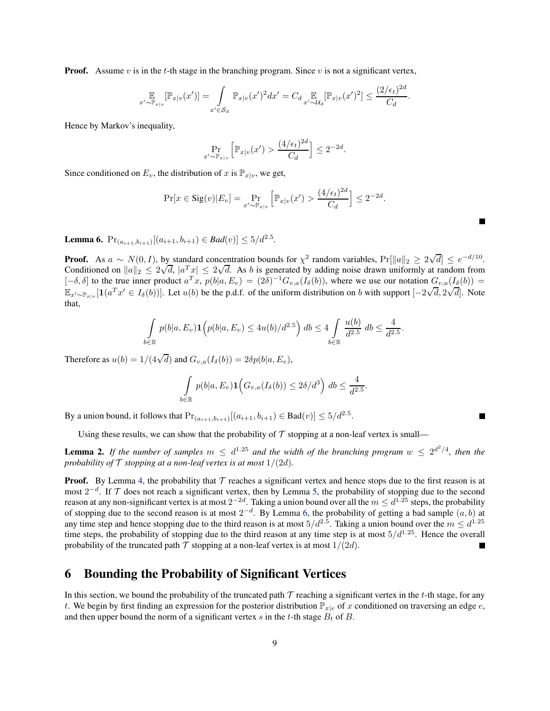**Proof.** Assume v is in the t-th stage in the branching program. Since v is not a significant vertex,

$$
\mathop{\mathbb{E}}_{x' \sim \mathbb{P}_{x|v}} [\mathbb{P}_{x|v}(x')] = \int_{x' \in S_d} \mathbb{P}_{x|v}(x')^2 dx' = C_d \mathop{\mathbb{E}}_{x' \sim \mathcal{U}_d} [\mathbb{P}_{x|v}(x')^2] \le \frac{(2/\epsilon_t)^{2d}}{C_d}.
$$

Hence by Markov's inequality,

$$
\Pr_{x' \sim \mathbb{P}_{x|v}} \left[ \mathbb{P}_{x|v}(x') > \frac{(4/\epsilon_t)^{2d}}{C_d} \right] \le 2^{-2d}.
$$

Since conditioned on  $E_v$ , the distribution of x is  $\mathbb{P}_{x|v}$ , we get,

$$
\Pr[x \in \text{Sig}(v)|E_v] = \Pr_{x' \sim \mathbb{P}_{x|v}} \left[ \mathbb{P}_{x|v}(x') > \frac{(4/\epsilon_t)^{2d}}{C_d} \right] \le 2^{-2d}.
$$

Е

П

<span id="page-9-1"></span>**Lemma 6.**  $Pr_{(a_{i+1},b_{i+1})}[(a_{i+1},b_{i+1}) \in Bad(v)] \leq 5/d^{2.5}$ .

**Proof.** As  $a \sim N(0, I)$ , by standard concentration bounds for  $\chi^2$  random variables,  $Pr[||a||_2 \ge 2\sqrt{d}] \le e^{-d/10}$ . Conditioned on  $||a||_2 \le 2\sqrt{d}$ ,  $|a^T x| \le 2\sqrt{d}$ . As b is generated by adding noise drawn uniformly at random from  $[-\delta, \delta]$  to the true inner product  $a^T x$ ,  $p(b|a, E_v) = (2\delta)^{-1} G_{v,a}(I_{\delta}(b))$ , where we use our notation  $G_{v,a}(I_{\delta}(b)) =$  $\mathbb{E}_{x' \sim \mathbb{P}_{x|v}}[\mathbf{1}(a^T x' \in I_\delta(b))]$ . Let  $u(b)$  be the p.d.f. of the uniform distribution on b with support  $[-2\sqrt{d}, 2\sqrt{d}]$ . Note that,

$$
\int_{\in \mathbb{R}} p(b|a, E_v) \mathbf{1} \Big( p(b|a, E_v) \le 4u(b)/d^{2.5} \Big) db \le 4 \int_{b \in \mathbb{R}} \frac{u(b)}{d^{2.5}} db \le \frac{4}{d^{2.5}}.
$$

Therefore as  $u(b) = 1/(4\sqrt{d})$  and  $G_{v,a}(I_\delta(b)) = 2\delta p(b|a, E_v)$ ,

<sup>b</sup>∈<sup>R</sup>

$$
\int_{b\in\mathbb{R}} p(b|a,E_v) \mathbf{1}\Big(G_{v,a}(I_\delta(b)) \leq 2\delta/d^3\Big) db \leq \frac{4}{d^{2.5}}.
$$

By a union bound, it follows that  $Pr_{(a_{i+1},b_{i+1})}[(a_{i+1},b_{i+1}) \in Bad(v)] \le 5/d^{2.5}$ .

Using these results, we can show that the probability of  $T$  stopping at a non-leaf vertex is small—

**Lemma 2.** If the number of samples  $m \leq d^{1.25}$  and the width of the branching program  $w \leq 2^{d^2/4}$ , then the probability of  $\mathcal T$  *stopping at a non-leaf vertex is at most*  $1/(2d)$ *.* 

**Proof.** By Lemma [4,](#page-8-4) the probability that  $T$  reaches a significant vertex and hence stops due to the first reason is at most  $2^{-d}$ . If  $\mathcal T$  does not reach a significant vertex, then by Lemma [5,](#page-8-5) the probability of stopping due to the second reason at any non-significant vertex is at most  $2^{-2d}$ . Taking a union bound over all the  $m \leq d^{1.25}$  steps, the probability of stopping due to the second reason is at most  $2^{-d}$ . By Lemma [6,](#page-9-1) the probability of getting a bad sample  $(a, b)$  at any time step and hence stopping due to the third reason is at most  $5/d^{2.5}$ . Taking a union bound over the  $m \leq d^{1.25}$ time steps, the probability of stopping due to the third reason at any time step is at most  $5/d^{1.25}$ . Hence the overall probability of the truncated path  $\mathcal T$  stopping at a non-leaf vertex is at most  $1/(2d)$ . П

## <span id="page-9-0"></span>6 Bounding the Probability of Significant Vertices

In this section, we bound the probability of the truncated path  $\mathcal T$  reaching a significant vertex in the t-th stage, for any t. We begin by first finding an expression for the posterior distribution  $\mathbb{P}_{x|e}$  of x conditioned on traversing an edge e, and then upper bound the norm of a significant vertex s in the t-th stage  $B_t$  of B.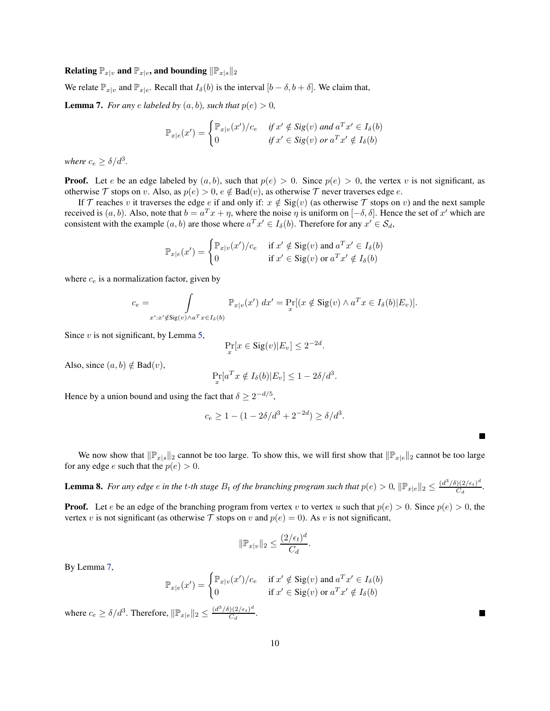### Relating  $\mathbb{P}_{x|v}$  and  $\mathbb{P}_{x|e}$ , and bounding  $\|\mathbb{P}_{x|s}\|_2$

We relate  $\mathbb{P}_{x|v}$  and  $\mathbb{P}_{x|e}$ . Recall that  $I_\delta(b)$  is the interval  $[b-\delta, b+\delta]$ . We claim that,

<span id="page-10-0"></span>**Lemma 7.** *For any e labeled by*  $(a, b)$ *, such that*  $p(e) > 0$ *,* 

$$
\mathbb{P}_{x|e}(x') = \begin{cases} \mathbb{P}_{x|v}(x')/c_e & \text{if } x' \notin \text{Sig}(v) \text{ and } a^T x' \in I_\delta(b) \\ 0 & \text{if } x' \in \text{Sig}(v) \text{ or } a^T x' \notin I_\delta(b) \end{cases}
$$

where  $c_e \geq \delta/d^3$ .

**Proof.** Let e be an edge labeled by  $(a, b)$ , such that  $p(e) > 0$ . Since  $p(e) > 0$ , the vertex v is not significant, as otherwise  $\mathcal T$  stops on v. Also, as  $p(e) > 0, e \notin \text{Bad}(v)$ , as otherwise  $\mathcal T$  never traverses edge e.

If T reaches v it traverses the edge e if and only if:  $x \notin \text{Sig}(v)$  (as otherwise T stops on v) and the next sample received is  $(a, b)$ . Also, note that  $b = a^T x + \eta$ , where the noise  $\eta$  is uniform on  $[-\delta, \delta]$ . Hence the set of x' which are consistent with the example  $(a, b)$  are those where  $a^T x' \in I_\delta(b)$ . Therefore for any  $x' \in S_d$ ,

$$
\mathbb{P}_{x|e}(x') = \begin{cases} \mathbb{P}_{x|v}(x')/c_e & \text{if } x' \notin \text{Sig}(v) \text{ and } a^T x' \in I_\delta(b) \\ 0 & \text{if } x' \in \text{Sig}(v) \text{ or } a^T x' \notin I_\delta(b) \end{cases}
$$

where  $c_e$  is a normalization factor, given by

$$
c_e = \int_{x':x'\notin \mathrm{Sig}(v)\wedge a^T x \in I_\delta(b)} \mathbb{P}_{x|v}(x')\ dx' = \Pr_x[(x \notin \mathrm{Sig}(v) \wedge a^T x \in I_\delta(b)|E_v)].
$$

Since  $v$  is not significant, by Lemma [5,](#page-8-5)

$$
\Pr_x[x \in \text{Sig}(v)|E_v] \le 2^{-2d}.
$$

Also, since  $(a, b) \notin \text{Bad}(v)$ ,

$$
\Pr_x[a^T x \notin I_\delta(b)|E_v] \le 1 - 2\delta/d^3.
$$

Hence by a union bound and using the fact that  $\delta \geq 2^{-d/5}$ ,

$$
c_e \ge 1 - (1 - 2\delta/d^3 + 2^{-2d}) \ge \delta/d^3.
$$

We now show that  $\|\mathbb{P}_{x|s}\|_2$  cannot be too large. To show this, we will first show that  $\|\mathbb{P}_{x|e}\|_2$  cannot be too large for any edge *e* such that the  $p(e) > 0$ .

<span id="page-10-1"></span>**Lemma 8.** For any edge  $e$  in the t-th stage  $B_t$  of the branching program such that  $p(e) > 0$ ,  $\|\mathbb{P}_{x|e}\|_2 \leq \frac{(d^3/\delta)(2/\epsilon_t)^d}{C_d}$  $\frac{J(Z/\epsilon_t)}{C_d}$ .

**Proof.** Let e be an edge of the branching program from vertex v to vertex u such that  $p(e) > 0$ . Since  $p(e) > 0$ , the vertex v is not significant (as otherwise T stops on v and  $p(e) = 0$ ). As v is not significant,

$$
\|\mathbb{P}_{x|v}\|_2 \le \frac{(2/\epsilon_t)^d}{C_d}.
$$

By Lemma [7,](#page-10-0)

$$
\mathbb{P}_{x|e}(x') = \begin{cases} \mathbb{P}_{x|v}(x')/c_e & \text{if } x' \notin \text{Sig}(v) \text{ and } a^T x' \in I_\delta(b) \\ 0 & \text{if } x' \in \text{Sig}(v) \text{ or } a^T x' \notin I_\delta(b) \end{cases}
$$

where  $c_e \ge \delta/d^3$ . Therefore,  $\|\mathbb{P}_{x|e}\|_2 \le \frac{(d^3/\delta)(2/\epsilon_t)^d}{C_d}$  $\frac{C_4}{C_d}$ .

10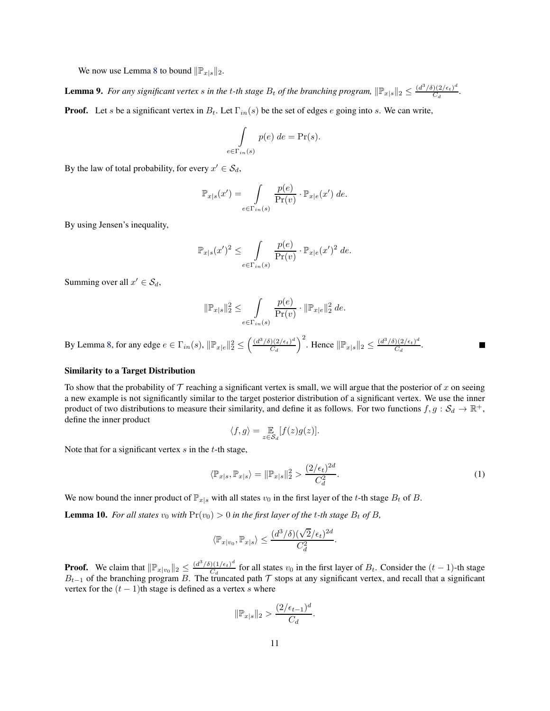We now use Lemma [8](#page-10-1) to bound  $\|\mathbb{P}_{x|s}\|_2$ .

<span id="page-11-0"></span>**Lemma 9.** For any significant vertex s in the t-th stage  $B_t$  of the branching program,  $\|\mathbb{P}_{x|s}\|_2 \leq \frac{(d^3/\delta)(2/\epsilon_t)^d}{C_d}$  $\frac{J(Z/\epsilon_t)}{C_d}$ .

**Proof.** Let s be a significant vertex in  $B_t$ . Let  $\Gamma_{in}(s)$  be the set of edges e going into s. We can write,

$$
\int_{e \in \Gamma_{in}(s)} p(e) \, de = \Pr(s).
$$

By the law of total probability, for every  $x' \in \mathcal{S}_d$ ,

$$
\mathbb{P}_{x|s}(x') = \int\limits_{e \in \Gamma_{in}(s)} \frac{p(e)}{\Pr(v)} \cdot \mathbb{P}_{x|e}(x') \, de.
$$

By using Jensen's inequality,

$$
\mathbb{P}_{x|s}(x')^2 \leq \int\limits_{e \in \Gamma_{in}(s)} \frac{p(e)}{\Pr(v)} \cdot \mathbb{P}_{x|e}(x')^2 de.
$$

Summing over all  $x' \in S_d$ ,

$$
\|\mathbb{P}_{x|s}\|_2^2 \le \int\limits_{e \in \Gamma_{in}(s)} \frac{p(e)}{\Pr(v)} \cdot \|\mathbb{P}_{x|e}\|_2^2 de.
$$

By Lemma [8,](#page-10-1) for any edge  $e \in \Gamma_{in}(s)$ ,  $\|\mathbb{P}_{x|e}\|_2^2 \le \left(\frac{(d^3/\delta)(2/\epsilon_t)^d}{C_d}\right)$  $\frac{((2/\epsilon_t)^d}{C_d}\right)^2$ . Hence  $\|\mathbb{P}_{x|s}\|_2 \leq \frac{(d^3/\delta)(2/\epsilon_t)^d}{C_d}$  $\frac{C_4}{C_d}$ .

#### Similarity to a Target Distribution

To show that the probability of  $\mathcal T$  reaching a significant vertex is small, we will argue that the posterior of  $x$  on seeing a new example is not significantly similar to the target posterior distribution of a significant vertex. We use the inner product of two distributions to measure their similarity, and define it as follows. For two functions  $f, g: S_d \to \mathbb{R}^+$ , define the inner product

<span id="page-11-2"></span>
$$
\langle f, g \rangle = \mathop{\mathbb{E}}_{z \in \mathcal{S}_d} [f(z)g(z)].
$$

Note that for a significant vertex  $s$  in the  $t$ -th stage,

$$
\langle \mathbb{P}_{x|s}, \mathbb{P}_{x|s} \rangle = \|\mathbb{P}_{x|s}\|_2^2 > \frac{(2/\epsilon_t)^{2d}}{C_d^2}.
$$
 (1)

We now bound the inner product of  $\mathbb{P}_{x|s}$  with all states  $v_0$  in the first layer of the t-th stage  $B_t$  of B.

<span id="page-11-1"></span>**Lemma 10.** For all states  $v_0$  with  $Pr(v_0) > 0$  in the first layer of the t-th stage  $B_t$  of  $B$ ,

$$
\langle \mathbb{P}_{x|v_0}, \mathbb{P}_{x|s} \rangle \leq \frac{(d^3/\delta)(\sqrt{2}/\epsilon_t)^{2d}}{C_d^2}.
$$

**Proof.** We claim that  $\|\mathbb{P}_{x|v_0}\|_2 \leq \frac{(d^3/\delta)(1/\epsilon_t)^d}{C_d}$  $\frac{\partial (1/\epsilon_t)}{C_d}$  for all states  $v_0$  in the first layer of  $B_t$ . Consider the  $(t-1)$ -th stage  $B_{t-1}$  of the branching program B. The truncated path T stops at any significant vertex, and recall that a significant vertex for the  $(t - 1)$ th stage is defined as a vertex s where

$$
\|\mathbb{P}_{x|s}\|_2 > \frac{(2/\epsilon_{t-1})^d}{C_d}.
$$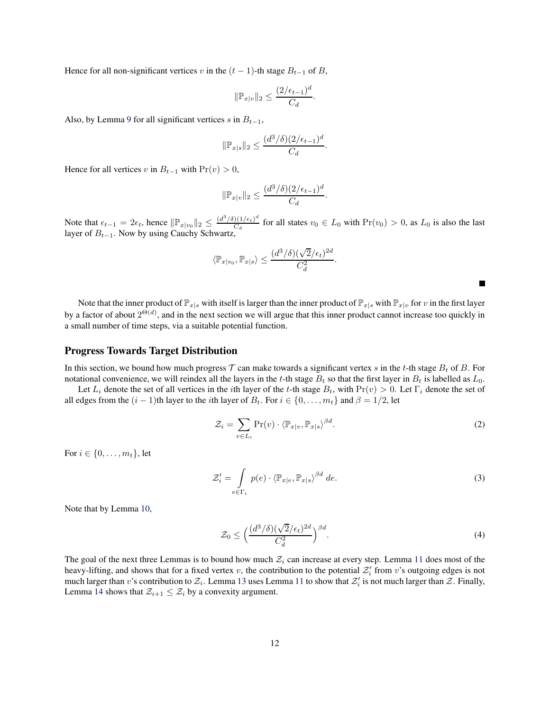Hence for all non-significant vertices v in the  $(t - 1)$ -th stage  $B_{t-1}$  of B,

$$
\|\mathbb{P}_{x|v}\|_2 \le \frac{(2/\epsilon_{t-1})^d}{C_d}.
$$

Also, by Lemma [9](#page-11-0) for all significant vertices s in  $B_{t-1}$ ,

$$
\|\mathbb{P}_{x|s}\|_2 \le \frac{(d^3/\delta)(2/\epsilon_{t-1})^d}{C_d}
$$

.

Hence for all vertices v in  $B_{t-1}$  with  $Pr(v) > 0$ ,

$$
\|\mathbb{P}_{x|v}\|_2 \le \frac{(d^3/\delta)(2/\epsilon_{t-1})^d}{C_d}.
$$

Note that  $\epsilon_{t-1} = 2\epsilon_t$ , hence  $\|\mathbb{P}_{x|v_0}\|_2 \leq \frac{(d^3/\delta)(1/\epsilon_t)^d}{C_d}$  $\frac{C_{d}(1/\epsilon_t)}{C_d}$  for all states  $v_0 \in L_0$  with  $Pr(v_0) > 0$ , as  $L_0$  is also the last layer of  $B_{t-1}$ . Now by using Cauchy Schwartz,

$$
\langle \mathbb{P}_{x|v_0}, \mathbb{P}_{x|s} \rangle \le \frac{(d^3/\delta)(\sqrt{2}/\epsilon_t)^{2d}}{C_d^2}.
$$

Note that the inner product of  $\mathbb{P}_{x|s}$  with itself is larger than the inner product of  $\mathbb{P}_{x|s}$  with  $\mathbb{P}_{x|v}$  for v in the first layer by a factor of about  $2^{\Theta(d)}$ , and in the next section we will argue that this inner product cannot increase too quickly in a small number of time steps, via a suitable potential function.

#### Progress Towards Target Distribution

In this section, we bound how much progress  $\mathcal T$  can make towards a significant vertex s in the t-th stage  $B_t$  of B. For notational convenience, we will reindex all the layers in the t-th stage  $B_t$  so that the first layer in  $B_t$  is labelled as  $L_0$ .

Let  $L_i$  denote the set of all vertices in the *i*th layer of the t-th stage  $B_t$ , with  $Pr(v) > 0$ . Let  $\Gamma_i$  denote the set of all edges from the  $(i - 1)$ th layer to the *i*th layer of  $B_t$ . For  $i \in \{0, ..., m_t\}$  and  $\beta = 1/2$ , let

$$
\mathcal{Z}_i = \sum_{v \in L_i} \Pr(v) \cdot \langle \mathbb{P}_{x|v}, \mathbb{P}_{x|s} \rangle^{\beta d}.
$$
 (2)

<span id="page-12-2"></span><span id="page-12-1"></span><span id="page-12-0"></span> $\blacksquare$ 

For  $i \in \{0, \ldots, m_t\}$ , let

$$
\mathcal{Z}'_i = \int\limits_{e \in \Gamma_i} p(e) \cdot \left\langle \mathbb{P}_{x|e}, \mathbb{P}_{x|s} \right\rangle^{\beta d} de.
$$
 (3)

Note that by Lemma [10,](#page-11-1)

$$
\mathcal{Z}_0 \le \left(\frac{(d^3/\delta)(\sqrt{2}/\epsilon_t)^{2d}}{C_d^2}\right)^{\beta d}.\tag{4}
$$

The goal of the next three Lemmas is to bound how much  $\mathcal{Z}_i$  can increase at every step. Lemma [11](#page-13-0) does most of the heavy-lifting, and shows that for a fixed vertex v, the contribution to the potential  $\mathcal{Z}'_i$  from v's outgoing edges is not much larger than v's contribution to  $\mathcal{Z}_i$ . Lemma [13](#page-15-0) uses Lemma [11](#page-13-0) to show that  $\mathcal{Z}'_i$  is not much larger than  $\mathcal{Z}$ . Finally, Lemma [14](#page-16-0) shows that  $\mathcal{Z}_{i+1} \leq \mathcal{Z}_i$  by a convexity argument.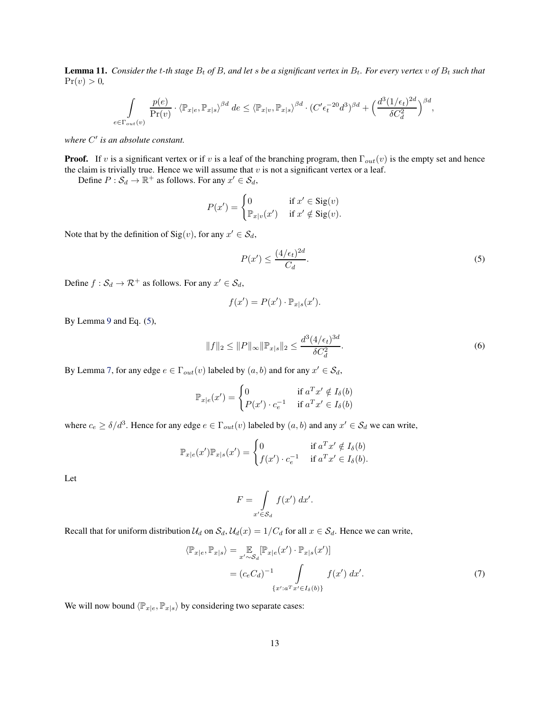<span id="page-13-0"></span>**Lemma 11.** *Consider the t-th stage*  $B_t$  *of*  $B$ *, and let s be a significant vertex in*  $B_t$ *. For every vertex v of*  $B_t$  *such that*  $Pr(v) > 0,$ 

$$
\int\limits_{e\in \Gamma_{out}(v)} \frac{p(e)}{\Pr(v)} \cdot \left\langle \mathbb{P}_{x|e}, \mathbb{P}_{x|s} \right\rangle^{\beta d} \, de \leq \left\langle \mathbb{P}_{x|v}, \mathbb{P}_{x|s} \right\rangle^{\beta d} \cdot (C'\epsilon_t^{-20}d^3)^{\beta d} + \left( \frac{d^3(1/\epsilon_t)^{2d}}{\delta C_d^2} \right)^{\beta d},
$$

*where* C ′ *is an absolute constant.*

**Proof.** If v is a significant vertex or if v is a leaf of the branching program, then  $\Gamma_{out}(v)$  is the empty set and hence the claim is trivially true. Hence we will assume that  $v$  is not a significant vertex or a leaf.

Define  $P : \mathcal{S}_d \to \mathbb{R}^+$  as follows. For any  $x' \in \mathcal{S}_d$ ,

$$
P(x') = \begin{cases} 0 & \text{if } x' \in \text{Sig}(v) \\ \mathbb{P}_{x|v}(x') & \text{if } x' \notin \text{Sig}(v). \end{cases}
$$

Note that by the definition of  $\text{Sig}(v)$ , for any  $x' \in \mathcal{S}_d$ ,

<span id="page-13-1"></span>
$$
P(x') \le \frac{(4/\epsilon_t)^{2d}}{C_d}.\tag{5}
$$

Define  $f : \mathcal{S}_d \to \mathcal{R}^+$  as follows. For any  $x' \in \mathcal{S}_d$ ,

<span id="page-13-3"></span>
$$
f(x') = P(x') \cdot \mathbb{P}_{x|s}(x').
$$

By Lemma [9](#page-11-0) and Eq. [\(5\)](#page-13-1),

$$
||f||_2 \le ||P||_{\infty} ||\mathbb{P}_{x|s}||_2 \le \frac{d^3(4/\epsilon_t)^{3d}}{\delta C_d^2}.
$$
\n(6)

By Lemma [7,](#page-10-0) for any edge  $e \in \Gamma_{out}(v)$  labeled by  $(a, b)$  and for any  $x' \in \mathcal{S}_d$ ,

$$
\mathbb{P}_{x|e}(x') = \begin{cases} 0 & \text{if } a^T x' \notin I_\delta(b) \\ P(x') \cdot c_e^{-1} & \text{if } a^T x' \in I_\delta(b) \end{cases}
$$

where  $c_e \ge \delta/d^3$ . Hence for any edge  $e \in \Gamma_{out}(v)$  labeled by  $(a, b)$  and any  $x' \in S_d$  we can write,

$$
\mathbb{P}_{x|e}(x')\mathbb{P}_{x|s}(x') = \begin{cases} 0 & \text{if } a^T x' \notin I_\delta(b) \\ f(x') \cdot c_e^{-1} & \text{if } a^T x' \in I_\delta(b). \end{cases}
$$

Let

<span id="page-13-2"></span>
$$
F = \int\limits_{x' \in S_d} f(x') \, dx'.
$$

Recall that for uniform distribution  $U_d$  on  $S_d$ ,  $U_d(x) = 1/C_d$  for all  $x \in S_d$ . Hence we can write,

$$
\langle \mathbb{P}_{x|e}, \mathbb{P}_{x|s} \rangle = \mathbb{E}_{x' \sim S_d} [\mathbb{P}_{x|e}(x') \cdot \mathbb{P}_{x|s}(x')]
$$

$$
= (c_e C_d)^{-1} \int \{f(x') dx'.
$$

$$
\{x': a^T x' \in I_{\delta}(b)\}
$$
(7)

We will now bound  $\langle \mathbb{P}_{x|e}, \mathbb{P}_{x|s} \rangle$  by considering two separate cases: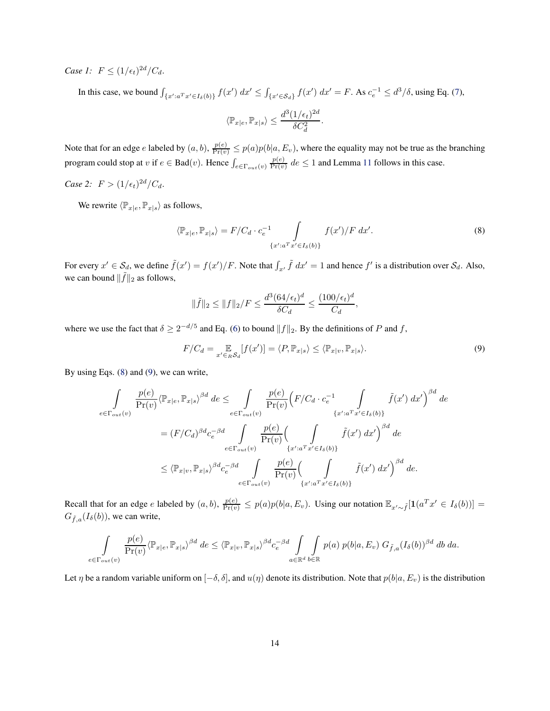*Case 1:*  $F \leq (1/\epsilon_t)^{2d}/C_d$ .

In this case, we bound  $\int_{\{x': a^T x' \in I_\delta(b)\}} f(x') dx' \leq \int_{\{x' \in S_d\}} f(x') dx' = F$ . As  $c_e^{-1} \leq d^3/\delta$ , using Eq. [\(7\)](#page-13-2),

<span id="page-14-0"></span>
$$
\langle \mathbb{P}_{x \mid e}, \mathbb{P}_{x \mid s} \rangle \leq \frac{d^3(1/\epsilon_t)^{2d}}{\delta C_d^2}.
$$

Note that for an edge e labeled by  $(a, b)$ ,  $\frac{p(e)}{Pr(v)} \le p(a)p(b|a, E_v)$ , where the equality may not be true as the branching program could stop at  $v$  if  $e \in \text{Bad}(v)$ . Hence  $\int_{e \in \Gamma_{out}(v)}$  $p(e)$  $\frac{p(e)}{Pr(v)}$  de  $\leq 1$  and Lemma [11](#page-13-0) follows in this case.

*Case 2:*  $F > (1/\epsilon_t)^{2d}/C_d$ .

We rewrite  $\langle \mathbb{P}_{x|e}, \mathbb{P}_{x|s} \rangle$  as follows,

$$
\langle \mathbb{P}_{x|e}, \mathbb{P}_{x|s} \rangle = F/C_d \cdot c_e^{-1} \int \limits_{\{x': a^T x' \in I_\delta(b)\}} f(x')/F dx'.
$$
 (8)

For every  $x' \in S_d$ , we define  $\tilde{f}(x') = f(x')/F$ . Note that  $\int_{x'} \tilde{f} dx' = 1$  and hence  $f'$  is a distribution over  $S_d$ . Also, we can bound  $\|\tilde{f}\|_2$  as follows,

<span id="page-14-1"></span>
$$
\|\tilde{f}\|_2 \le \|f\|_2/F \le \frac{d^3(64/\epsilon_t)^d}{\delta C_d} \le \frac{(100/\epsilon_t)^d}{C_d},
$$

where we use the fact that  $\delta \ge 2^{-d/5}$  and Eq. [\(6\)](#page-13-3) to bound  $||f||_2$ . By the definitions of P and f,

$$
F/C_d = \mathop{\mathbb{E}}_{x' \in_R \mathcal{S}_d} [f(x')] = \langle P, \mathbb{P}_{x|s} \rangle \le \langle \mathbb{P}_{x|v}, \mathbb{P}_{x|s} \rangle.
$$
 (9)

By using Eqs. [\(8\)](#page-14-0) and [\(9\)](#page-14-1), we can write,

$$
\int_{e \in \Gamma_{out}(v)} \frac{p(e)}{\Pr(v)} \langle \mathbb{P}_{x|e}, \mathbb{P}_{x|s} \rangle^{\beta d} de \leq \int_{e \in \Gamma_{out}(v)} \frac{p(e)}{\Pr(v)} \Big( F/C_d \cdot c_e^{-1} \int_{\{x': a^T x' \in I_{\delta}(b)\}} \tilde{f}(x') dx' \Big)^{\beta d} de \n= (F/C_d)^{\beta d} c_e^{-\beta d} \int_{e \in \Gamma_{out}(v)} \frac{p(e)}{\Pr(v)} \Big( \int_{\{x': a^T x' \in I_{\delta}(b)\}} \tilde{f}(x') dx' \Big)^{\beta d} de \n\leq \langle \mathbb{P}_{x|v}, \mathbb{P}_{x|s} \rangle^{\beta d} c_e^{-\beta d} \int_{e \in \Gamma_{out}(v)} \frac{p(e)}{\Pr(v)} \Big( \int_{\{x': a^T x' \in I_{\delta}(b)\}} \tilde{f}(x') dx' \Big)^{\beta d} de.
$$

Recall that for an edge e labeled by  $(a, b)$ ,  $\frac{p(e)}{Pr(v)} \le p(a)p(b|a, E_v)$ . Using our notation  $\mathbb{E}_{x' \sim \tilde{f}}[\mathbf{1}(a^T x' \in I_{\delta}(b))]$  $G_{\tilde{f},a}(I_{\delta}(b))$ , we can write,

$$
\int_{e \in \Gamma_{out}(v)} \frac{p(e)}{\Pr(v)} \langle \mathbb{P}_{x|e}, \mathbb{P}_{x|s} \rangle^{\beta d} \, de \leq \langle \mathbb{P}_{x|v}, \mathbb{P}_{x|s} \rangle^{\beta d} c_e^{-\beta d} \int_{a \in \mathbb{R}^d} \int_{b \in \mathbb{R}} p(a) \, p(b|a, E_v) \, G_{\tilde{f},a}(I_\delta(b))^{\beta d} \, db \, da.
$$

Let  $\eta$  be a random variable uniform on  $[-\delta, \delta]$ , and  $u(\eta)$  denote its distribution. Note that  $p(b|a, E_v)$  is the distribution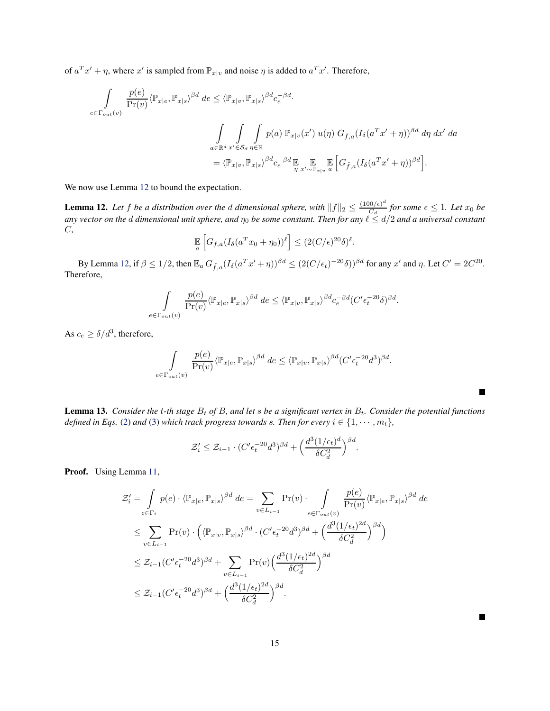of  $a^T x' + \eta$ , where  $x'$  is sampled from  $\mathbb{P}_{x|v}$  and noise  $\eta$  is added to  $a^T x'$ . Therefore,

$$
\int_{e \in \Gamma_{out}(v)} \frac{p(e)}{\Pr(v)} \langle \mathbb{P}_{x|e}, \mathbb{P}_{x|s} \rangle^{\beta d} de \leq \langle \mathbb{P}_{x|v}, \mathbb{P}_{x|s} \rangle^{\beta d} c_e^{-\beta d}.
$$
\n
$$
\int_{a \in \mathbb{R}^d} \int_{x' \in S_d} \int_{\eta \in \mathbb{R}} p(a) \; \mathbb{P}_{x|v}(x') \; u(\eta) \; G_{\tilde{f},a} (I_{\delta}(a^T x' + \eta))^{\beta d} d\eta \; dx' \; da
$$
\n
$$
= \langle \mathbb{P}_{x|v}, \mathbb{P}_{x|s} \rangle^{\beta d} c_e^{-\beta d} \mathbb{E}_{\eta} \mathbb{E}_{x' \sim \mathbb{P}_{x|v}} \mathbb{E}_{a} \left[ G_{\tilde{f},a} (I_{\delta}(a^T x' + \eta))^{\beta d} \right].
$$

We now use Lemma [12](#page-15-1) to bound the expectation.

<span id="page-15-1"></span>**Lemma 12.** Let f be a distribution over the d dimensional sphere, with  $||f||_2 \leq \frac{(100/\epsilon)^d}{C_d}$  $\frac{\partial f(\epsilon)}{\partial d}$  for some  $\epsilon \leq 1$ . Let  $x_0$  be *any vector on the* d *dimensional unit sphere, and* η<sup>0</sup> *be some constant. Then for any* ℓ ≤ d/2 *and a universal constant* C*,*

$$
\mathbb{E}\left[G_{f,a}(I_{\delta}(a^T x_0 + \eta_0))^{\ell}\right] \le (2(C/\epsilon)^{20}\delta)^{\ell}.
$$

By Lemma [12,](#page-15-1) if  $\beta \leq 1/2$ , then  $\mathbb{E}_a G_{\tilde{f},a} (I_\delta(a^T x' + \eta))^{\beta d} \leq (2(C/\epsilon_t)^{-20} \delta)^{\beta d}$  for any  $x'$  and  $\eta$ . Let  $C' = 2C^{20}$ . Therefore,

$$
\int_{e \in \Gamma_{out}(v)} \frac{p(e)}{\Pr(v)} \langle \mathbb{P}_{x|e}, \mathbb{P}_{x|s} \rangle^{\beta d} \, de \leq \langle \mathbb{P}_{x|v}, \mathbb{P}_{x|s} \rangle^{\beta d} c_e^{-\beta d} (C' \epsilon_t^{-20} \delta)^{\beta d}.
$$

As  $c_e \ge \delta/d^3$ , therefore,

$$
\int_{e \in \Gamma_{out}(v)} \frac{p(e)}{\Pr(v)} \langle \mathbb{P}_{x|e}, \mathbb{P}_{x|s} \rangle^{\beta d} \, de \leq \langle \mathbb{P}_{x|v}, \mathbb{P}_{x|s} \rangle^{\beta d} (C' \epsilon_t^{-20} d^3)^{\beta d}.
$$

<span id="page-15-0"></span>**Lemma 13.** *Consider the t-th stage*  $B_t$  *of*  $B$ *, and let s be a significant vertex in*  $B_t$ *. Consider the potential functions defined in Eqs.* [\(2\)](#page-12-0) *and* [\(3\)](#page-12-1) *which track progress towards s. Then for every*  $i \in \{1, \dots, m_t\}$ ,

$$
\mathcal{Z}'_i \leq \mathcal{Z}_{i-1} \cdot (C' \epsilon_t^{-20} d^3)^{\beta d} + \left(\frac{d^3 (1/\epsilon_t)^d}{\delta C_d^2}\right)^{\beta d}.
$$

Proof. Using Lemma [11,](#page-13-0)

$$
\mathcal{Z}'_i = \int_{e \in \Gamma_i} p(e) \cdot \langle \mathbb{P}_{x|e}, \mathbb{P}_{x|s} \rangle^{\beta d} de = \sum_{v \in L_{i-1}} \Pr(v) \cdot \int_{e \in \Gamma_{out}(v)} \frac{p(e)}{\Pr(v)} \langle \mathbb{P}_{x|e}, \mathbb{P}_{x|s} \rangle^{\beta d} de
$$
  
\n
$$
\leq \sum_{v \in L_{i-1}} \Pr(v) \cdot \left( \langle \mathbb{P}_{x|v}, \mathbb{P}_{x|s} \rangle^{\beta d} \cdot (C' \epsilon_t^{-20} d^3)^{\beta d} + \left( \frac{d^3 (1/\epsilon_t)^{2d}}{\delta C_d^2} \right)^{\beta d} \right)
$$
  
\n
$$
\leq \mathcal{Z}_{i-1} (C' \epsilon_t^{-20} d^3)^{\beta d} + \sum_{v \in L_{i-1}} \Pr(v) \left( \frac{d^3 (1/\epsilon_t)^{2d}}{\delta C_d^2} \right)^{\beta d}
$$
  
\n
$$
\leq \mathcal{Z}_{i-1} (C' \epsilon_t^{-20} d^3)^{\beta d} + \left( \frac{d^3 (1/\epsilon_t)^{2d}}{\delta C_d^2} \right)^{\beta d}.
$$

П

Г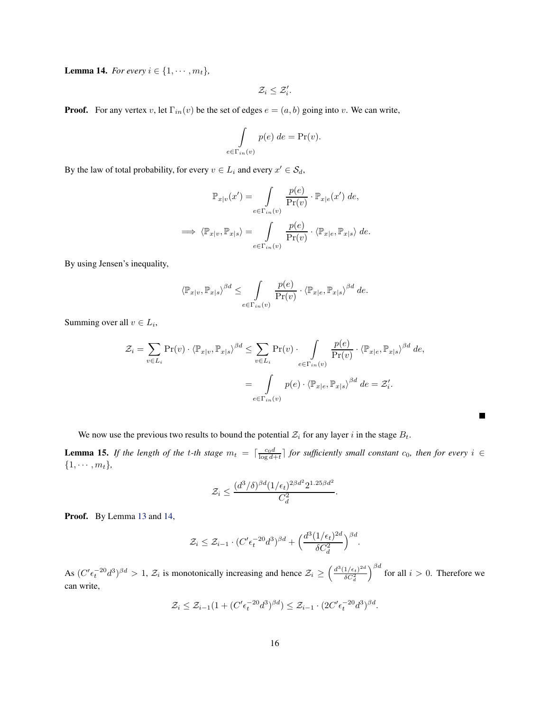<span id="page-16-0"></span>Lemma 14. *For every*  $i \in \{1, \dots, m_t\}$ ,

$$
\mathcal{Z}_i \leq \mathcal{Z}'_i.
$$

**Proof.** For any vertex v, let  $\Gamma_{in}(v)$  be the set of edges  $e = (a, b)$  going into v. We can write,

$$
\int_{e \in \Gamma_{in}(v)} p(e) \, de = \Pr(v).
$$

By the law of total probability, for every  $v \in L_i$  and every  $x' \in S_d$ ,

$$
\mathbb{P}_{x|v}(x') = \int_{e \in \Gamma_{in}(v)} \frac{p(e)}{\Pr(v)} \cdot \mathbb{P}_{x|e}(x') \, de,
$$
  

$$
\implies \langle \mathbb{P}_{x|v}, \mathbb{P}_{x|s} \rangle = \int_{e \in \Gamma_{in}(v)} \frac{p(e)}{\Pr(v)} \cdot \langle \mathbb{P}_{x|e}, \mathbb{P}_{x|s} \rangle \, de.
$$

By using Jensen's inequality,

$$
\left\langle \mathbb{P}_{x|v}, \mathbb{P}_{x|s} \right\rangle^{\beta d} \leq \int_{e \in \Gamma_{in}(v)} \frac{p(e)}{\Pr(v)} \cdot \left\langle \mathbb{P}_{x|e}, \mathbb{P}_{x|s} \right\rangle^{\beta d} de.
$$

Summing over all  $v \in L_i$ ,

$$
\mathcal{Z}_i = \sum_{v \in L_i} \Pr(v) \cdot \langle \mathbb{P}_{x|v}, \mathbb{P}_{x|s} \rangle^{\beta d} \le \sum_{v \in L_i} \Pr(v) \cdot \int_{e \in \Gamma_{in}(v)} \frac{p(e)}{\Pr(v)} \cdot \langle \mathbb{P}_{x|e}, \mathbb{P}_{x|s} \rangle^{\beta d} de,
$$

$$
= \int_{e \in \Gamma_{in}(v)} p(e) \cdot \langle \mathbb{P}_{x|e}, \mathbb{P}_{x|s} \rangle^{\beta d} de = \mathcal{Z}'_i.
$$

We now use the previous two results to bound the potential  $\mathcal{Z}_i$  for any layer i in the stage  $B_t$ .

<span id="page-16-1"></span>**Lemma 15.** If the length of the t-th stage  $m_t = \lceil \frac{c_0 d}{\log d + t} \rceil$  for sufficiently small constant  $c_0$ , then for every  $i \in$  $\{1, \cdots, m_t\},\$ 

$$
\mathcal{Z}_i \le \frac{(d^3/\delta)^{\beta d} (1/\epsilon_t)^{2\beta d^2} 2^{1.25\beta d^2}}{C_d^2}.
$$

Proof. By Lemma [13](#page-15-0) and [14,](#page-16-0)

$$
\mathcal{Z}_i \leq \mathcal{Z}_{i-1} \cdot (C' \epsilon_t^{-20} d^3)^{\beta d} + \left(\frac{d^3 (1/\epsilon_t)^{2d}}{\delta C_d^2}\right)^{\beta d}.
$$

As  $(C'\epsilon_t^{-20}d^3)^{\beta d} > 1$ ,  $\mathcal{Z}_i$  is monotonically increasing and hence  $\mathcal{Z}_i \geq \left(\frac{d^3(1/\epsilon_t)^{2d}}{\delta C_d^2}\right)$  $\delta C_d^2$  $\int_{0}^{\beta d}$  for all  $i > 0$ . Therefore we can write,

$$
\mathcal{Z}_i \leq \mathcal{Z}_{i-1}(1 + (C' \epsilon_t^{-20} d^3)^{\beta d}) \leq \mathcal{Z}_{i-1} \cdot (2C' \epsilon_t^{-20} d^3)^{\beta d}.
$$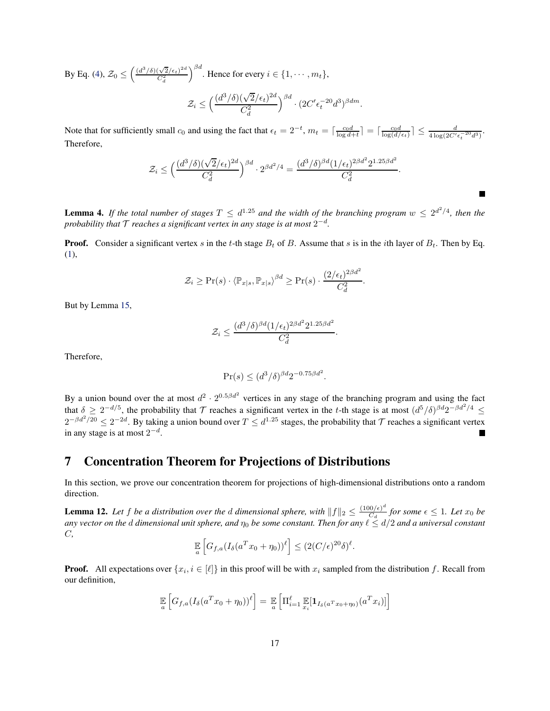By Eq. [\(4\)](#page-12-2),  $\mathcal{Z}_0 \leq \left(\frac{(d^3/\delta)(\sqrt{2}/\epsilon_t)^{2d}}{C_d^2}\right)$  $C_d^2$  $\Big)^{\beta d}$ . Hence for every  $i \in \{1, \cdots, m_t\},$  $\mathcal{Z}_i \leq \Big(\frac{(d^3/\delta)(\sqrt{2}/\epsilon_t)^{2d}}{C^2}\Big)$  $C_d^2$  $\Big)^{\beta d} \cdot (2C'\epsilon_t^{-20}d^3)^{\beta dm}.$ 

Note that for sufficiently small  $c_0$  and using the fact that  $\epsilon_t = 2^{-t}$ ,  $m_t = \lceil \frac{c_0 d}{\log d + t} \rceil = \lceil \frac{c_0 d}{\log(d/\epsilon_t)} \rceil \le \frac{d}{4 \log(2C' \epsilon_t^{-20} d^3)}$ . Therefore,

$$
\mathcal{Z}_i \le \left(\frac{(d^3/\delta)(\sqrt{2}/\epsilon_t)^{2d}}{C_d^2}\right)^{\beta d} \cdot 2^{\beta d^2/4} = \frac{(d^3/\delta)^{\beta d} (1/\epsilon_t)^{2\beta d^2} 2^{1.25\beta d^2}}{C_d^2}.
$$

**Lemma 4.** If the total number of stages  $T \le d^{1.25}$  and the width of the branching program  $w \le 2^{d^2/4}$ , then the probability that  ${\cal T}$  reaches a significant vertex in any stage is at most  $2^{-d}$ .

**Proof.** Consider a significant vertex s in the t-th stage  $B_t$  of B. Assume that s is in the ith layer of  $B_t$ . Then by Eq. [\(1\)](#page-11-2),

$$
\mathcal{Z}_i \geq \Pr(s) \cdot \langle \mathbb{P}_{x|s}, \mathbb{P}_{x|s} \rangle^{\beta d} \geq \Pr(s) \cdot \frac{(2/\epsilon_t)^{2\beta d^2}}{C_d^2}.
$$

But by Lemma [15,](#page-16-1)

$$
\mathcal{Z}_i \le \frac{(d^3/\delta)^{\beta d} (1/\epsilon_t)^{2\beta d^2} 2^{1.25\beta d^2}}{C_d^2}.
$$

Therefore,

$$
\Pr(s) \le (d^3/\delta)^{\beta d} 2^{-0.75 \beta d^2}.
$$

By a union bound over the at most  $d^2 \cdot 2^{0.5\beta d^2}$  vertices in any stage of the branching program and using the fact that  $\delta \geq 2^{-d/5}$ , the probability that T reaches a significant vertex in the t-th stage is at most  $(d^5/\delta)^{\beta d}2^{-\beta d^2/4} \leq$  $2^{-\beta d^2/20} \leq 2^{-2d}$ . By taking a union bound over  $T \leq d^{1.25}$  stages, the probability that  $\mathcal T$  reaches a significant vertex in any stage is at most  $2^{-d}$ .

## <span id="page-17-0"></span>7 Concentration Theorem for Projections of Distributions

In this section, we prove our concentration theorem for projections of high-dimensional distributions onto a random direction.

**Lemma 12.** Let f be a distribution over the d dimensional sphere, with  $||f||_2 \leq \frac{(100/\epsilon)^d}{C_d}$  $\frac{\partial f(\epsilon)}{\partial d}$  for some  $\epsilon \leq 1$ . Let  $x_0$  be *any vector on the* d *dimensional unit sphere, and* η<sup>0</sup> *be some constant. Then for any* ℓ ≤ d/2 *and a universal constant* C*,*

$$
\mathbb{E}\left[G_{f,a}(I_{\delta}(a^T x_0 + \eta_0))^{\ell}\right] \leq (2(C/\epsilon)^{20}\delta)^{\ell}.
$$

**Proof.** All expectations over  $\{x_i, i \in [\ell]\}$  in this proof will be with  $x_i$  sampled from the distribution f. Recall from our definition,

$$
\mathbb{E}\left[G_{f,a}(I_{\delta}(a^Tx_0+\eta_0))^{\ell}\right] = \mathbb{E}\left[\Pi_{i=1}^{\ell}\mathbb{E}[1_{I_{\delta}(a^Tx_0+\eta_0)}(a^Tx_i)]\right]
$$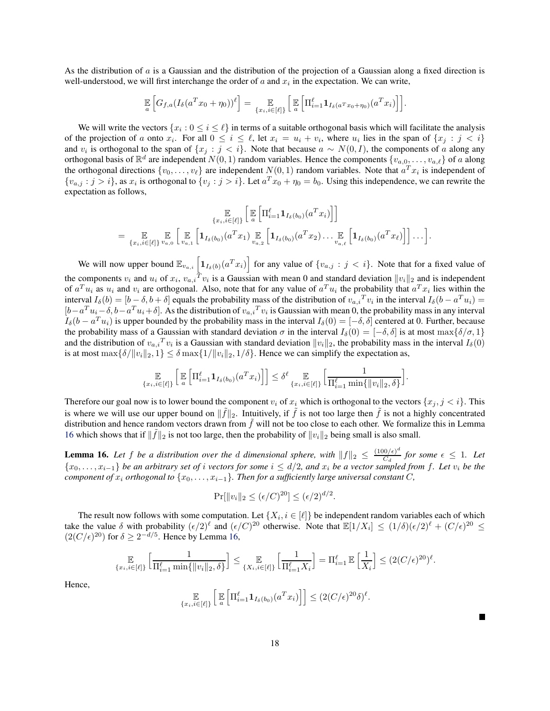As the distribution of a is a Gaussian and the distribution of the projection of a Gaussian along a fixed direction is well-understood, we will first interchange the order of  $a$  and  $x_i$  in the expectation. We can write,

$$
\mathbb{E}\left[G_{f,a}(I_{\delta}(a^Tx_0+\eta_0))^{\ell}\right] = \mathbb{E}\left[\mathbb{E}\left[\Pi_{i=1}^{\ell}\mathbf{1}_{I_{\delta}(a^Tx_0+\eta_0)}(a^Tx_i)\right]\right].
$$

We will write the vectors  $\{x_i: 0 \le i \le \ell\}$  in terms of a suitable orthogonal basis which will facilitate the analysis of the projection of a onto  $x_i$ . For all  $0 \le i \le \ell$ , let  $x_i = u_i + v_i$ , where  $u_i$  lies in the span of  $\{x_j : j < i\}$ and  $v_i$  is orthogonal to the span of  $\{x_j : j < i\}$ . Note that because  $a \sim N(0, I)$ , the components of a along any orthogonal basis of  $\mathbb{R}^d$  are independent  $N(0, 1)$  random variables. Hence the components  $\{v_{a,0}, \ldots, v_{a,\ell}\}$  of a along the orthogonal directions  $\{v_0, \ldots, v_\ell\}$  are independent  $N(0, 1)$  random variables. Note that  $a^T x_i$  is independent of  $\{v_{a,j} : j > i\}$ , as  $x_i$  is orthogonal to  $\{v_j : j > i\}$ . Let  $a^T x_0 + \eta_0 = b_0$ . Using this independence, we can rewrite the expectation as follows,

$$
\mathbb{E}_{\{x_i, i \in [\ell]\}} \left[ \mathbb{E} \left[ \Pi_{i=1}^{\ell} \mathbf{1}_{I_{\delta}(b_0)}(a^T x_i) \right] \right]
$$
\n
$$
= \mathbb{E}_{\{x_i, i \in [\ell]\}} \mathbb{E}_{a_0} \left[ \mathbb{E}_{a_1} \left[ \mathbf{1}_{I_{\delta}(b_0)}(a^T x_1) \mathbb{E}_{a_2} \left[ \mathbf{1}_{I_{\delta}(b_0)}(a^T x_2) \dots \mathbb{E}_{a_n \ell} \left[ \mathbf{1}_{I_{\delta}(b_0)}(a^T x_{\ell}) \right] \right] \dots \right]
$$

We will now upper bound  $\mathbb{E}_{v_{a,i}}\left[\mathbf{1}_{I_{\delta}(b)}(a^Tx_i)\right]$  for any value of  $\{v_{a,j} : j < i\}$ . Note that for a fixed value of the components  $v_i$  and  $u_i$  of  $x_i$ ,  $v_{a,i}^T v_i$  is a Gaussian with mean 0 and standard deviation  $||v_i||_2$  and is independent of  $a^T u_i$  as  $u_i$  and  $v_i$  are orthogonal. Also, note that for any value of  $a^T u_i$  the probability that  $a^T x_i$  lies within the interval  $I_{\delta}(b) = [b - \delta, b + \delta]$  equals the probability mass of the distribution of  $v_{a,i}^T v_i$  in the interval  $I_{\delta}(b - a^T u_i) =$  $[b-a^Tu_i-\delta, b-a^Tu_i+\delta]$ . As the distribution of  $v_{a,i}^Tv_i$  is Gaussian with mean 0, the probability mass in any interval  $I_{\delta}(b - a^T u_i)$  is upper bounded by the probability mass in the interval  $I_{\delta}(0) = [-\delta, \delta]$  centered at 0. Further, because the probability mass of a Gaussian with standard deviation  $\sigma$  in the interval  $I_\delta(0) = [-\delta, \delta]$  is at most max{ $\delta/\sigma$ , 1} and the distribution of  $v_{a,i}^T v_i$  is a Gaussian with standard deviation  $||v_i||_2$ , the probability mass in the interval  $I_\delta(0)$ is at most  $\max{\{\delta/||v_i||_2, 1\}} \leq \delta \max{\{1/||v_i||_2, 1/\delta\}}$ . Hence we can simplify the expectation as,

$$
\underset{\{x_i, i\in[\ell]\}}{\mathbb{E}}\left[\underset{a}{\mathbb{E}}\left[\Pi_{i=1}^{\ell}\mathbf{1}_{I_{\delta}(b_0)}(a^T x_i)\right]\right] \leq \delta^{\ell} \underset{\{x_i, i\in[\ell]\}}{\mathbb{E}}\left[\frac{1}{\Pi_{i=1}^{\ell} \min\{\|v_i\|_2, \delta\}}\right].
$$

Therefore our goal now is to lower bound the component  $v_i$  of  $x_i$  which is orthogonal to the vectors  $\{x_i, j \leq i\}$ . This is where we will use our upper bound on  $\|\tilde{f}\|_2$ . Intuitively, if  $\tilde{f}$  is not too large then  $\tilde{f}$  is not a highly concentrated distribution and hence random vectors drawn from  $\tilde{f}$  will not be too close to each other. We formalize this in Lemma [16](#page-18-0) which shows that if  $\|\tilde{f}\|_2$  is not too large, then the probability of  $\|v_i\|_2$  being small is also small.

<span id="page-18-0"></span>**Lemma 16.** Let f be a distribution over the d dimensional sphere, with  $||f||_2 \leq \frac{(100/\epsilon)^d}{C_d}$  $\frac{f(0/\epsilon)}{C_d}$  for some  $\epsilon \leq 1$ . Let {x0, . . . , x<sup>i</sup>−1} *be an arbitrary set of* i *vectors for some* i ≤ d/2*, and* x<sup>i</sup> *be a vector sampled from* f*. Let* v<sup>i</sup> *be the component of*  $x_i$  *orthogonal to*  $\{x_0, \ldots, x_{i-1}\}$ *. Then for a sufficiently large universal constant* C,

$$
\Pr[\|v_i\|_2 \le (\epsilon/C)^{20}] \le (\epsilon/2)^{d/2}.
$$

The result now follows with some computation. Let  $\{X_i, i \in [\ell]\}$  be independent random variables each of which take the value  $\delta$  with probability  $(\epsilon/2)^{\ell}$  and  $(\epsilon/C)^{20}$  otherwise. Note that  $\mathbb{E}[1/X_i] \leq (1/\delta)(\epsilon/2)^{\ell} + (C/\epsilon)^{20} \leq$  $(2(C/\epsilon)^{20})$  for  $\delta \geq 2^{-d/5}$ . Hence by Lemma [16,](#page-18-0)

$$
\underset{\{x_i,i\in[\ell]\}}{\mathbb{E}}\left[\frac{1}{\Pi_{i=1}^{\ell}\min\{\|v_i\|_2,\delta\}}\right] \leq \underset{\{X_i,i\in[\ell]\}}{\mathbb{E}}\left[\frac{1}{\Pi_{i=1}^{\ell}X_i}\right] = \Pi_{i=1}^{\ell}\,\mathbb{E}\left[\frac{1}{X_i}\right] \leq (2(C/\epsilon)^{20})^{\ell}.
$$

Hence,

$$
\mathbb{E}_{\{x_i, i \in [\ell]\}} \left[ \mathbb{E} \left[ \Pi_{i=1}^{\ell} \mathbf{1}_{I_{\delta}(b_0)}(a^T x_i) \right] \right] \leq (2(C/\epsilon)^{20} \delta)^{\ell}.
$$

L.

.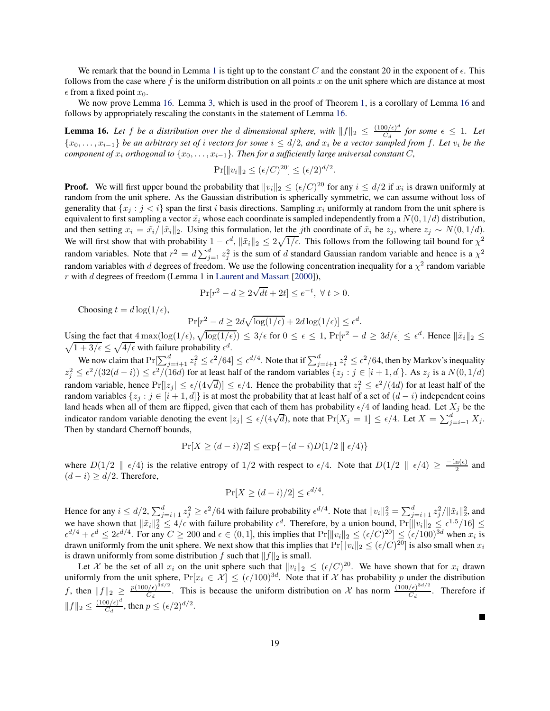We remark that the bound in Lemma [1](#page-6-0) is tight up to the constant C and the constant 20 in the exponent of  $\epsilon$ . This follows from the case where  $\hat{f}$  is the uniform distribution on all points x on the unit sphere which are distance at most  $\epsilon$  from a fixed point  $x_0$ .

We now prove Lemma [16.](#page-18-0) Lemma [3,](#page-8-3) which is used in the proof of Theorem [1,](#page-8-0) is a corollary of Lemma [16](#page-18-0) and follows by appropriately rescaling the constants in the statement of Lemma [16.](#page-18-0)

**Lemma 16.** Let f be a distribution over the d dimensional sphere, with  $||f||_2 \leq \frac{(100/\epsilon)^d}{C_d}$  $\frac{f(0/\epsilon)}{C_d}$  for some  $\epsilon \leq 1$ . Let {x0, . . . , xi−1} *be an arbitrary set of* i *vectors for some* i ≤ d/2*, and* x<sup>i</sup> *be a vector sampled from* f*. Let* v<sup>i</sup> *be the component of*  $x_i$  *orthogonal to*  $\{x_0, \ldots, x_{i-1}\}$ *. Then for a sufficiently large universal constant* C*,* 

$$
\Pr[\|v_i\|_2 \le (\epsilon/C)^{20}] \le (\epsilon/2)^{d/2}.
$$

**Proof.** We will first upper bound the probability that  $||v_i||_2 \le (\epsilon/C)^{20}$  for any  $i \le d/2$  if  $x_i$  is drawn uniformly at random from the unit sphere. As the Gaussian distribution is spherically symmetric, we can assume without loss of generality that  $\{x_i : j < i\}$  span the first i basis directions. Sampling  $x_i$  uniformly at random from the unit sphere is equivalent to first sampling a vector  $\tilde{x_i}$  whose each coordinate is sampled independently from a  $N(0, 1/d)$  distribution, and then setting  $x_i = \tilde{x}_i/||\tilde{x}_i||_2$ . Using this formulation, let the jth coordinate of  $\tilde{x}_i$  be  $z_j$ , where  $z_j \sim N(0, 1/d)$ . We will first show that with probability  $1 - \epsilon^d$ ,  $\|\tilde{x}_i\|_2 \leq 2\sqrt{1/\epsilon}$ . This follows from the following tail bound for  $\chi^2$ random variables. Note that  $r^2 = d \sum_{j=1}^d z_j^2$  is the sum of d standard Gaussian random variable and hence is a  $\chi^2$ random variables with d degrees of freedom. We use the following concentration inequality for a  $\chi^2$  random variable  $r$  with  $d$  degrees of freedom (Lemma 1 in [Laurent and Massart](#page-22-8) [\[2000](#page-22-8)]),

$$
\Pr[r^2 - d \ge 2\sqrt{dt} + 2t] \le e^{-t}, \ \forall \ t > 0.
$$

Choosing  $t = d \log(1/\epsilon)$ ,

$$
\Pr[r^2 - d \ge 2d\sqrt{\log(1/\epsilon)} + 2d\log(1/\epsilon)] \le \epsilon^d.
$$

Using the fact that  $4 \max(\log(1/\epsilon), \sqrt{\log(1/\epsilon)}) \leq 3/\epsilon$  for  $0 \leq \epsilon \leq 1$ ,  $\Pr[r^2 - d \geq 3d/\epsilon] \leq \epsilon^d$ . Hence  $\|\tilde{x}_i\|_2 \leq \sqrt{1+3/\epsilon} \leq \sqrt{4/\epsilon}$  with failure probability  $\epsilon^d$ .  $\sqrt{1+3/\epsilon} \leq \sqrt{4/\epsilon}$  with failure probability  $\epsilon^d$ .

We now claim that  $Pr[\sum_{j=i+1}^{d} z_i^2 \leq \epsilon^2/64] \leq \epsilon^{d/4}$ . Note that if  $\sum_{j=i+1}^{d} z_i^2 \leq \epsilon^2/64$ , then by Markov's inequality  $z_j^2 \leq \epsilon^2/(32(d-i)) \leq \epsilon^2/(16d)$  for at least half of the random variables  $\{z_j : j \in [i+1,d]\}$ . As  $z_j$  is a  $N(0,1/d)$ random variable, hence  $Pr[|z_j| \le \epsilon/(4\sqrt{d})] \le \epsilon/4$ . Hence the probability that  $z_j^2 \le \epsilon^2/(4d)$  for at least half of the random variables  $\{z_j : j \in [i+1,d]\}$  is at most the probability that at least half of a set of  $(d-i)$  independent coins land heads when all of them are flipped, given that each of them has probability  $\epsilon/4$  of landing head. Let  $X_j$  be the indicator random variable denoting the event  $|z_j| \le \epsilon/(4\sqrt{d})$ , note that  $Pr[X_j = 1] \le \epsilon/4$ . Let  $X = \sum_{j=i+1}^d X_j$ . Then by standard Chernoff bounds,

$$
\Pr[X \ge (d-i)/2] \le \exp\{-(d-i)D(1/2 \parallel \epsilon/4)\}\
$$

where  $D(1/2 \parallel \epsilon/4)$  is the relative entropy of  $1/2$  with respect to  $\epsilon/4$ . Note that  $D(1/2 \parallel \epsilon/4) \ge \frac{-\ln(\epsilon)}{2}$  and  $(d - i) \ge d/2$ . Therefore,

$$
\Pr[X \ge (d-i)/2] \le \epsilon^{d/4}.
$$

Hence for any  $i \le d/2$ ,  $\sum_{j=i+1}^{d} z_j^2 \ge \epsilon^2/64$  with failure probability  $\epsilon^{d/4}$ . Note that  $||v_i||_2^2 = \sum_{j=i+1}^{d} z_j^2/||\tilde{x}_i||_2^2$ , and we have shown that  $\|\tilde{x}_i\|_2^2 \le 4/\epsilon$  with failure probability  $\epsilon^d$ . Therefore, by a union bound,  $Pr[\|v_i\|_2 \le \epsilon^{1.5}/16] \le$  $\epsilon^{d/4} + \epsilon^d \leq 2\epsilon^{d/4}$ . For any  $C \geq 200$  and  $\epsilon \in (0, 1]$ , this implies that  $Pr[\|v_i\|_2 \leq (\epsilon/C)^{20}] \leq (\epsilon/100)^{3d}$  when  $x_i$  is drawn uniformly from the unit sphere. We next show that this implies that  $Pr[\|v_i\|_2 \le (\epsilon/C)^{20}]$  is also small when  $x_i$ is drawn uniformly from some distribution f such that  $||f||_2$  is small.

Let X be the set of all  $x_i$  on the unit sphere such that  $||v_i||_2 \leq (\epsilon/C)^{20}$ . We have shown that for  $x_i$  drawn uniformly from the unit sphere,  $Pr[x_i \in \mathcal{X}] \leq (\epsilon/100)^{3d}$ . Note that if X has probability p under the distribution *f*, then  $||f||_2 \ge \frac{p(100/\epsilon)^{3d/2}}{C_d}$  $\frac{(\lambda/\epsilon)^{3d/2}}{C_d}$ . This is because the uniform distribution on X has norm  $\frac{(100/\epsilon)^{3d/2}}{C_d}$  $\frac{C_{d}}{C_{d}}$ . Therefore if  $||f||_2 \leq \frac{(100/\epsilon)^d}{C_d}$  $\frac{d(0/\epsilon)^a}{C_d}$ , then  $p \le (\epsilon/2)^{d/2}$ .

П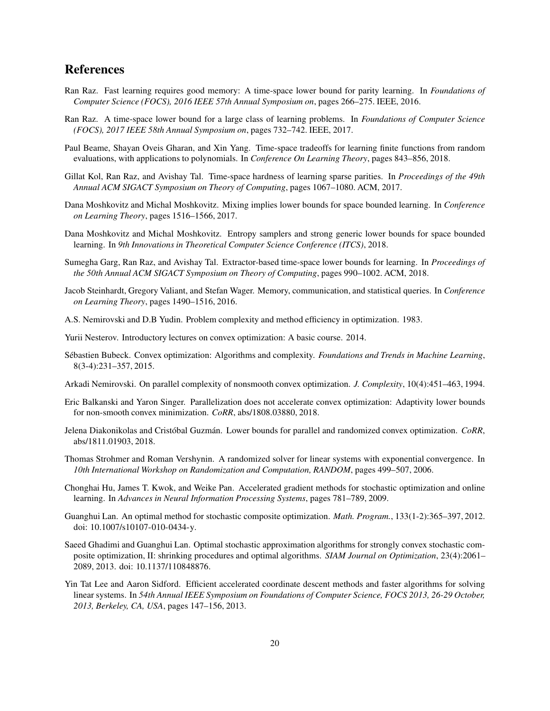## References

- <span id="page-20-0"></span>Ran Raz. Fast learning requires good memory: A time-space lower bound for parity learning. In *Foundations of Computer Science (FOCS), 2016 IEEE 57th Annual Symposium on*, pages 266–275. IEEE, 2016.
- <span id="page-20-1"></span>Ran Raz. A time-space lower bound for a large class of learning problems. In *Foundations of Computer Science (FOCS), 2017 IEEE 58th Annual Symposium on*, pages 732–742. IEEE, 2017.
- <span id="page-20-2"></span>Paul Beame, Shayan Oveis Gharan, and Xin Yang. Time-space tradeoffs for learning finite functions from random evaluations, with applications to polynomials. In *Conference On Learning Theory*, pages 843–856, 2018.
- <span id="page-20-3"></span>Gillat Kol, Ran Raz, and Avishay Tal. Time-space hardness of learning sparse parities. In *Proceedings of the 49th Annual ACM SIGACT Symposium on Theory of Computing*, pages 1067–1080. ACM, 2017.
- <span id="page-20-4"></span>Dana Moshkovitz and Michal Moshkovitz. Mixing implies lower bounds for space bounded learning. In *Conference on Learning Theory*, pages 1516–1566, 2017.
- <span id="page-20-5"></span>Dana Moshkovitz and Michal Moshkovitz. Entropy samplers and strong generic lower bounds for space bounded learning. In *9th Innovations in Theoretical Computer Science Conference (ITCS)*, 2018.
- <span id="page-20-6"></span>Sumegha Garg, Ran Raz, and Avishay Tal. Extractor-based time-space lower bounds for learning. In *Proceedings of the 50th Annual ACM SIGACT Symposium on Theory of Computing*, pages 990–1002. ACM, 2018.
- <span id="page-20-7"></span>Jacob Steinhardt, Gregory Valiant, and Stefan Wager. Memory, communication, and statistical queries. In *Conference on Learning Theory*, pages 1490–1516, 2016.
- <span id="page-20-8"></span>A.S. Nemirovski and D.B Yudin. Problem complexity and method efficiency in optimization. 1983.
- <span id="page-20-9"></span>Yurii Nesterov. Introductory lectures on convex optimization: A basic course. 2014.
- <span id="page-20-10"></span>Sébastien Bubeck. Convex optimization: Algorithms and complexity. *Foundations and Trends in Machine Learning*, 8(3-4):231–357, 2015.
- <span id="page-20-11"></span>Arkadi Nemirovski. On parallel complexity of nonsmooth convex optimization. *J. Complexity*, 10(4):451–463, 1994.
- <span id="page-20-12"></span>Eric Balkanski and Yaron Singer. Parallelization does not accelerate convex optimization: Adaptivity lower bounds for non-smooth convex minimization. *CoRR*, abs/1808.03880, 2018.
- <span id="page-20-13"></span>Jelena Diakonikolas and Cristóbal Guzmán. Lower bounds for parallel and randomized convex optimization. *CoRR*, abs/1811.01903, 2018.
- <span id="page-20-14"></span>Thomas Strohmer and Roman Vershynin. A randomized solver for linear systems with exponential convergence. In *10th International Workshop on Randomization and Computation, RANDOM*, pages 499–507, 2006.
- <span id="page-20-15"></span>Chonghai Hu, James T. Kwok, and Weike Pan. Accelerated gradient methods for stochastic optimization and online learning. In *Advances in Neural Information Processing Systems*, pages 781–789, 2009.
- <span id="page-20-16"></span>Guanghui Lan. An optimal method for stochastic composite optimization. *Math. Program.*, 133(1-2):365–397, 2012. doi: 10.1007/s10107-010-0434-y.
- <span id="page-20-17"></span>Saeed Ghadimi and Guanghui Lan. Optimal stochastic approximation algorithms for strongly convex stochastic composite optimization, II: shrinking procedures and optimal algorithms. *SIAM Journal on Optimization*, 23(4):2061– 2089, 2013. doi: 10.1137/110848876.
- <span id="page-20-18"></span>Yin Tat Lee and Aaron Sidford. Efficient accelerated coordinate descent methods and faster algorithms for solving linear systems. In *54th Annual IEEE Symposium on Foundations of Computer Science, FOCS 2013, 26-29 October, 2013, Berkeley, CA, USA*, pages 147–156, 2013.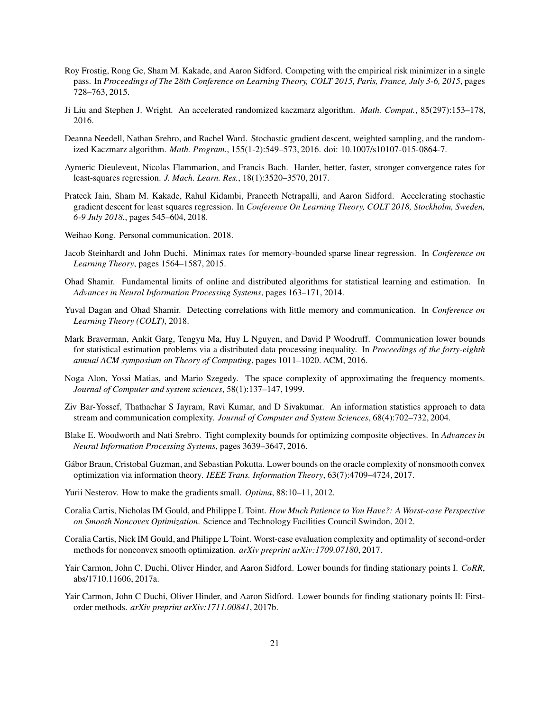- <span id="page-21-0"></span>Roy Frostig, Rong Ge, Sham M. Kakade, and Aaron Sidford. Competing with the empirical risk minimizer in a single pass. In *Proceedings of The 28th Conference on Learning Theory, COLT 2015, Paris, France, July 3-6, 2015*, pages 728–763, 2015.
- <span id="page-21-1"></span>Ji Liu and Stephen J. Wright. An accelerated randomized kaczmarz algorithm. *Math. Comput.*, 85(297):153–178, 2016.
- <span id="page-21-2"></span>Deanna Needell, Nathan Srebro, and Rachel Ward. Stochastic gradient descent, weighted sampling, and the randomized Kaczmarz algorithm. *Math. Program.*, 155(1-2):549–573, 2016. doi: 10.1007/s10107-015-0864-7.
- <span id="page-21-3"></span>Aymeric Dieuleveut, Nicolas Flammarion, and Francis Bach. Harder, better, faster, stronger convergence rates for least-squares regression. *J. Mach. Learn. Res.*, 18(1):3520–3570, 2017.
- <span id="page-21-4"></span>Prateek Jain, Sham M. Kakade, Rahul Kidambi, Praneeth Netrapalli, and Aaron Sidford. Accelerating stochastic gradient descent for least squares regression. In *Conference On Learning Theory, COLT 2018, Stockholm, Sweden, 6-9 July 2018.*, pages 545–604, 2018.
- <span id="page-21-5"></span>Weihao Kong. Personal communication. 2018.
- <span id="page-21-6"></span>Jacob Steinhardt and John Duchi. Minimax rates for memory-bounded sparse linear regression. In *Conference on Learning Theory*, pages 1564–1587, 2015.
- <span id="page-21-7"></span>Ohad Shamir. Fundamental limits of online and distributed algorithms for statistical learning and estimation. In *Advances in Neural Information Processing Systems*, pages 163–171, 2014.
- <span id="page-21-8"></span>Yuval Dagan and Ohad Shamir. Detecting correlations with little memory and communication. In *Conference on Learning Theory (COLT)*, 2018.
- <span id="page-21-9"></span>Mark Braverman, Ankit Garg, Tengyu Ma, Huy L Nguyen, and David P Woodruff. Communication lower bounds for statistical estimation problems via a distributed data processing inequality. In *Proceedings of the forty-eighth annual ACM symposium on Theory of Computing*, pages 1011–1020. ACM, 2016.
- <span id="page-21-10"></span>Noga Alon, Yossi Matias, and Mario Szegedy. The space complexity of approximating the frequency moments. *Journal of Computer and system sciences*, 58(1):137–147, 1999.
- <span id="page-21-11"></span>Ziv Bar-Yossef, Thathachar S Jayram, Ravi Kumar, and D Sivakumar. An information statistics approach to data stream and communication complexity. *Journal of Computer and System Sciences*, 68(4):702–732, 2004.
- <span id="page-21-12"></span>Blake E. Woodworth and Nati Srebro. Tight complexity bounds for optimizing composite objectives. In *Advances in Neural Information Processing Systems*, pages 3639–3647, 2016.
- <span id="page-21-13"></span>Gábor Braun, Cristobal Guzman, and Sebastian Pokutta. Lower bounds on the oracle complexity of nonsmooth convex optimization via information theory. *IEEE Trans. Information Theory*, 63(7):4709–4724, 2017.
- <span id="page-21-14"></span>Yurii Nesterov. How to make the gradients small. *Optima*, 88:10–11, 2012.
- <span id="page-21-15"></span>Coralia Cartis, Nicholas IM Gould, and Philippe L Toint. *How Much Patience to You Have?: A Worst-case Perspective on Smooth Noncovex Optimization*. Science and Technology Facilities Council Swindon, 2012.
- <span id="page-21-16"></span>Coralia Cartis, Nick IM Gould, and Philippe L Toint. Worst-case evaluation complexity and optimality of second-order methods for nonconvex smooth optimization. *arXiv preprint arXiv:1709.07180*, 2017.
- <span id="page-21-17"></span>Yair Carmon, John C. Duchi, Oliver Hinder, and Aaron Sidford. Lower bounds for finding stationary points I. *CoRR*, abs/1710.11606, 2017a.
- <span id="page-21-18"></span>Yair Carmon, John C Duchi, Oliver Hinder, and Aaron Sidford. Lower bounds for finding stationary points II: Firstorder methods. *arXiv preprint arXiv:1711.00841*, 2017b.